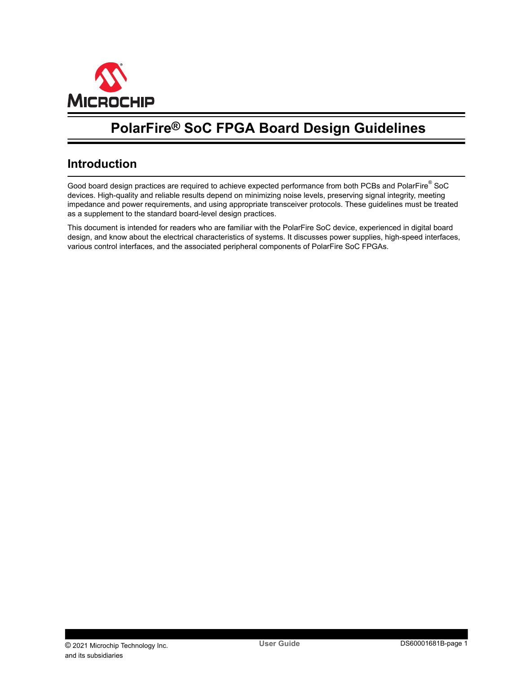<span id="page-0-0"></span>

# **PolarFire® SoC FPGA Board Design Guidelines**

## **Introduction**

Good board design practices are required to achieve expected performance from both PCBs and PolarFire $^\circ$  SoC devices. High-quality and reliable results depend on minimizing noise levels, preserving signal integrity, meeting impedance and power requirements, and using appropriate transceiver protocols. These guidelines must be treated as a supplement to the standard board-level design practices.

This document is intended for readers who are familiar with the PolarFire SoC device, experienced in digital board design, and know about the electrical characteristics of systems. It discusses power supplies, high-speed interfaces, various control interfaces, and the associated peripheral components of PolarFire SoC FPGAs.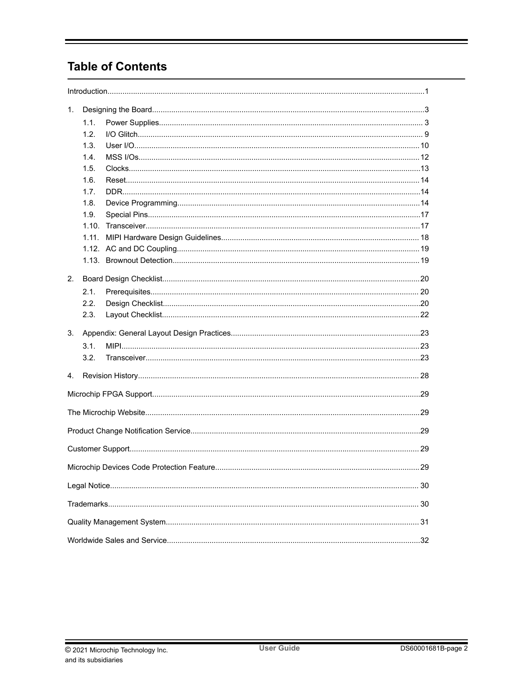# **Table of Contents**

| 1. |       |  |
|----|-------|--|
|    | 1.1.  |  |
|    | 1.2.  |  |
|    | 1.3.  |  |
|    | 1.4.  |  |
|    | 1.5.  |  |
|    | 1.6.  |  |
|    | 1.7.  |  |
|    | 1.8.  |  |
|    | 1.9.  |  |
|    | 1.10. |  |
|    |       |  |
|    |       |  |
|    |       |  |
| 2. |       |  |
|    | 2.1.  |  |
|    | 2.2.  |  |
|    | 2.3.  |  |
|    |       |  |
| 3. |       |  |
|    | 3.1.  |  |
|    | 3.2.  |  |
|    |       |  |
| 4. |       |  |
|    |       |  |
|    |       |  |
|    |       |  |
|    |       |  |
|    |       |  |
|    |       |  |
|    |       |  |
|    |       |  |
|    |       |  |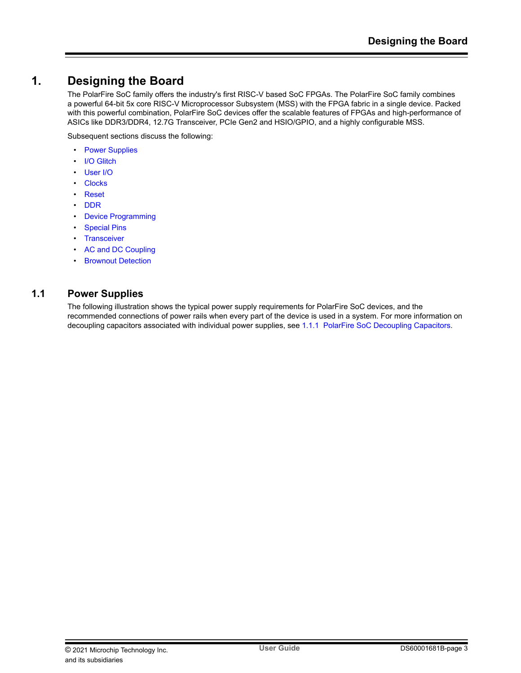## <span id="page-2-0"></span>**1. Designing the Board**

The PolarFire SoC family offers the industry's first RISC-V based SoC FPGAs. The PolarFire SoC family combines a powerful 64-bit 5x core RISC-V Microprocessor Subsystem (MSS) with the FPGA fabric in a single device. Packed with this powerful combination, PolarFire SoC devices offer the scalable features of FPGAs and high-performance of ASICs like DDR3/DDR4, 12.7G Transceiver, PCIe Gen2 and HSIO/GPIO, and a highly configurable MSS.

Subsequent sections discuss the following:

- Power Supplies
- [I/O Glitch](#page-8-0)
- [User I/O](#page-9-0)
- **[Clocks](#page-12-0)**
- [Reset](#page-13-0)
- [DDR](#page-13-0)
- **[Device Programming](#page-13-0)**
- **[Special Pins](#page-16-0)**
- [Transceiver](#page-16-0)
- [AC and DC Coupling](#page-18-0)
- **[Brownout Detection](#page-18-0)**

## **1.1 Power Supplies**

The following illustration shows the typical power supply requirements for PolarFire SoC devices, and the recommended connections of power rails when every part of the device is used in a system. For more information on decoupling capacitors associated with individual power supplies, see [1.1.1 PolarFire SoC Decoupling Capacitors.](#page-4-0)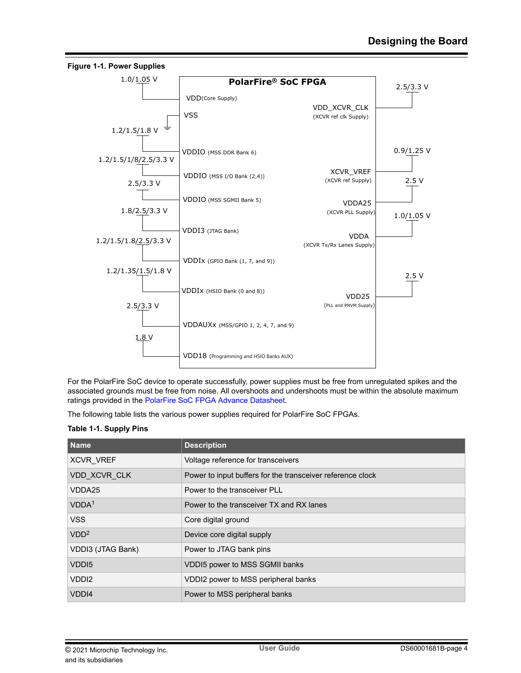<span id="page-3-0"></span>

For the PolarFire SoC device to operate successfully, power supplies must be free from unregulated spikes and the associated grounds must be free from noise. All overshoots and undershoots must be within the absolute maximum ratings provided in the [PolarFire SoC FPGA Advance Datasheet.](http://www.microsemi.com/index.php?option=com_docman&task=doc_download&gid=1244583)

The following table lists the various power supplies required for PolarFire SoC FPGAs.

#### **Table 1-1. Supply Pins**

| l Name            | <b>Description</b>                                         |
|-------------------|------------------------------------------------------------|
| <b>XCVR VREF</b>  | Voltage reference for transceivers                         |
| VDD XCVR CLK      | Power to input buffers for the transceiver reference clock |
| VDDA25            | Power to the transceiver PLL                               |
| VDDA <sup>1</sup> | Power to the transceiver TX and RX lanes                   |
| <b>VSS</b>        | Core digital ground                                        |
| VDD <sup>2</sup>  | Device core digital supply                                 |
| VDDI3 (JTAG Bank) | Power to JTAG bank pins                                    |
| VDD <sub>15</sub> | <b>VDDI5 power to MSS SGMII banks</b>                      |
| VDD <sub>12</sub> | VDDI2 power to MSS peripheral banks                        |
| VDDI4             | Power to MSS peripheral banks                              |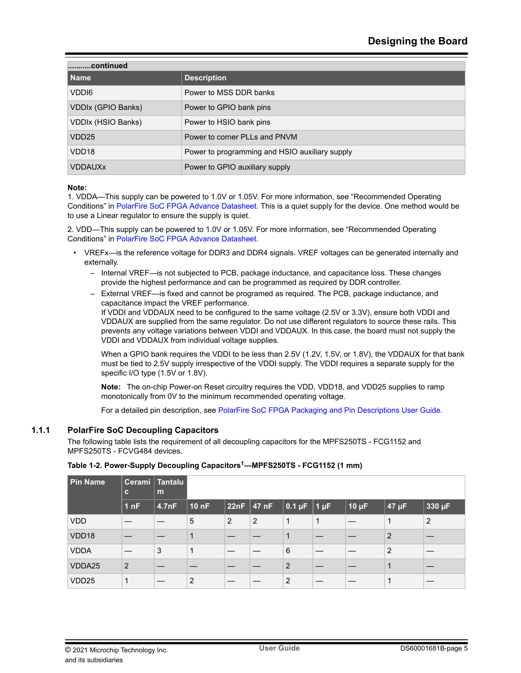<span id="page-4-0"></span>

| continued                 |                                                |  |  |  |  |  |  |  |
|---------------------------|------------------------------------------------|--|--|--|--|--|--|--|
| l Name                    | <b>Description</b>                             |  |  |  |  |  |  |  |
| VDD <sub>16</sub>         | Power to MSS DDR banks                         |  |  |  |  |  |  |  |
| <b>VDDIx (GPIO Banks)</b> | Power to GPIO bank pins                        |  |  |  |  |  |  |  |
| VDDIx (HSIO Banks)        | Power to HSIO bank pins                        |  |  |  |  |  |  |  |
| VDD <sub>25</sub>         | Power to corner PLLs and PNVM                  |  |  |  |  |  |  |  |
| VDD <sub>18</sub>         | Power to programming and HSIO auxiliary supply |  |  |  |  |  |  |  |
| <b>VDDAUXx</b>            | Power to GPIO auxiliary supply                 |  |  |  |  |  |  |  |

#### **Note:**

1. VDDA—This supply can be powered to 1.0V or 1.05V. For more information, see "Recommended Operating Conditions" in [PolarFire SoC FPGA Advance Datasheet](http://www.microsemi.com/index.php?option=com_docman&task=doc_download&gid=1244583). This is a quiet supply for the device. One method would be to use a Linear regulator to ensure the supply is quiet.

2. VDD—This supply can be powered to 1.0V or 1.05V. For more information, see "Recommended Operating Conditions" in [PolarFire SoC FPGA Advance Datasheet](http://www.microsemi.com/index.php?option=com_docman&task=doc_download&gid=1244583).

- VREFx—is the reference voltage for DDR3 and DDR4 signals. VREF voltages can be generated internally and externally.
	- Internal VREF—is not subjected to PCB, package inductance, and capacitance loss. These changes provide the highest performance and can be programmed as required by DDR controller.
	- External VREF—is fixed and cannot be programed as required. The PCB, package inductance, and capacitance impact the VREF performance.

If VDDI and VDDAUX need to be configured to the same voltage (2.5V or 3.3V), ensure both VDDI and VDDAUX are supplied from the same regulator. Do not use different regulators to source these rails. This prevents any voltage variations between VDDI and VDDAUX. In this case, the board must not supply the VDDI and VDDAUX from individual voltage supplies.

When a GPIO bank requires the VDDI to be less than 2.5V (1.2V, 1.5V, or 1.8V), the VDDAUX for that bank must be tied to 2.5V supply irrespective of the VDDI supply. The VDDI requires a separate supply for the specific I/O type (1.5V or 1.8V).

**Note:**  The on-chip Power-on Reset circuitry requires the VDD, VDD18, and VDD25 supplies to ramp monotonically from 0V to the minimum recommended operating voltage.

For a detailed pin description, see [PolarFire SoC FPGA Packaging and Pin Descriptions User Guide.](http://www.microsemi.com/index.php?option=com_docman&task=doc_download&gid=1244577)

### **1.1.1 PolarFire SoC Decoupling Capacitors**

The following table lists the requirement of all decoupling capacitors for the MPFS250TS - FCG1152 and MPFS250TS - FCVG484 devices.

| <b>Pin Name</b> | $\mathbf{c}$    | Cerami Tantalu<br>m |       |   |                |                             |   |              |            |        |
|-----------------|-----------------|---------------------|-------|---|----------------|-----------------------------|---|--------------|------------|--------|
|                 | 1 <sub>nF</sub> | 4.7nF               | 10 nF |   | $ 22nF $ 47 nF | $\vert$ 0.1 µF $\vert$ 1 µF |   | $ 10 \mu F $ | $47 \mu F$ | 330 µF |
| <b>VDD</b>      |                 |                     | 5     | 2 | $\overline{2}$ | 1                           | 1 |              | 1          | 2      |
| VDD18           |                 |                     |       |   |                |                             |   |              | 2          |        |
| <b>VDDA</b>     |                 | 3                   | 1     |   |                | 6                           |   |              | 2          |        |
| VDDA25          | 2               |                     |       |   |                | 2                           |   |              |            |        |
| VDD25           |                 |                     | 2     |   |                | $\overline{2}$              |   |              |            |        |

## **Table 1-2. Power-Supply Decoupling Capacitors1—MPFS250TS - FCG1152 (1 mm)**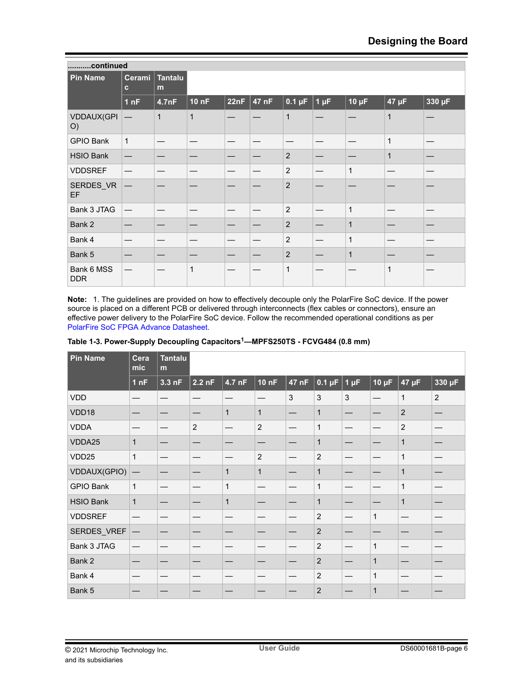<span id="page-5-0"></span>

| continued                |                                   |              |              |      |       |                |           |              |              |        |
|--------------------------|-----------------------------------|--------------|--------------|------|-------|----------------|-----------|--------------|--------------|--------|
| <b>Pin Name</b>          | Cerami<br>$\mathbf{c}$            | Tantalu<br>m |              |      |       |                |           |              |              |        |
|                          | 1 <sub>nF</sub>                   | 4.7nF        | <b>10 nF</b> | 22nF | 47 nF | $0.1 \mu F$    | $1 \mu F$ | $10 \mu F$   | $47 \mu F$   | 330 µF |
| <b>VDDAUX(GPI</b><br>O)  |                                   | $\mathbf{1}$ | $\mathbf{1}$ |      |       | $\mathbf{1}$   |           |              | $\mathbf{1}$ |        |
| <b>GPIO Bank</b>         | $\mathbf{1}$                      |              |              |      |       |                |           | —            | 1            |        |
| <b>HSIO Bank</b>         |                                   |              |              |      |       | $\overline{2}$ |           |              | $\mathbf{1}$ |        |
| <b>VDDSREF</b>           |                                   |              |              |      |       | $\overline{c}$ |           | 1            |              |        |
| SERDES_VR<br><b>EF</b>   |                                   |              |              |      |       | $\overline{c}$ |           |              |              |        |
| Bank 3 JTAG              | $\overbrace{\phantom{123221111}}$ |              |              |      |       | 2              |           | 1            |              |        |
| Bank 2                   |                                   |              |              |      |       | $\overline{2}$ |           | $\mathbf{1}$ |              |        |
| Bank 4                   |                                   |              |              |      |       | $\overline{2}$ |           | 1            |              |        |
| Bank 5                   |                                   |              |              |      |       | $\overline{2}$ |           | $\mathbf{1}$ |              |        |
| Bank 6 MSS<br><b>DDR</b> |                                   |              | $\mathbf{1}$ |      |       | $\mathbf{1}$   |           |              | 1            |        |

**Note:**  1. The guidelines are provided on how to effectively decouple only the PolarFire SoC device. If the power source is placed on a different PCB or delivered through interconnects (flex cables or connectors), ensure an effective power delivery to the PolarFire SoC device. Follow the recommended operational conditions as per [PolarFire SoC FPGA Advance Datasheet.](http://www.microsemi.com/index.php?option=com_docman&task=doc_download&gid=1244583)

| <b>Pin Name</b>  | Cera<br>mic  | <b>Tantalu</b><br>m |                |              |                |       |                |           |              |                |                |
|------------------|--------------|---------------------|----------------|--------------|----------------|-------|----------------|-----------|--------------|----------------|----------------|
|                  | 1nF          | 3.3 nF              | $2.2$ nF       | 4.7 nF       | <b>10 nF</b>   | 47 nF | $0.1 \mu F$    | $1 \mu F$ | $10 \mu F$   | 47 µF          | 330 µF         |
| <b>VDD</b>       |              |                     |                |              |                | 3     | 3              | 3         |              | 1              | $\overline{2}$ |
| VDD18            |              |                     |                | $\mathbf{1}$ | $\mathbf{1}$   |       | $\mathbf 1$    |           |              | $\overline{2}$ |                |
| <b>VDDA</b>      |              |                     | $\overline{2}$ | —            | $\overline{c}$ |       | $\mathbf 1$    |           |              | $\overline{2}$ |                |
| VDDA25           | $\mathbf{1}$ |                     |                |              |                |       | $\mathbf{1}$   |           |              | $\mathbf{1}$   |                |
| VDD25            | $\mathbf{1}$ |                     |                |              | $\overline{c}$ |       | $\overline{c}$ |           |              | $\mathbf{1}$   |                |
| VDDAUX(GPIO)     | —            |                     |                | $\mathbf{1}$ | $\mathbf{1}$   |       | $\mathbf 1$    |           |              | $\mathbf{1}$   |                |
| <b>GPIO Bank</b> | $\mathbf{1}$ |                     |                | 1            |                |       | $\mathbf{1}$   |           |              | $\mathbf{1}$   |                |
| <b>HSIO Bank</b> | $\mathbf{1}$ |                     |                | $\mathbf{1}$ | —              |       | $\mathbf 1$    |           |              | $\mathbf{1}$   |                |
| <b>VDDSREF</b>   |              |                     |                |              |                |       | $\overline{c}$ |           | $\mathbf{1}$ |                |                |
| SERDES_VREF      |              |                     |                |              |                |       | $\overline{2}$ |           |              |                |                |
| Bank 3 JTAG      |              |                     |                |              |                |       | $\overline{c}$ |           | $\mathbf{1}$ |                |                |
| Bank 2           | —            | —                   |                | —            | –              | —     | $\overline{2}$ |           | $\mathbf 1$  |                |                |
| Bank 4           |              |                     |                |              |                |       | $\overline{c}$ |           | $\mathbf{1}$ |                |                |
| Bank 5           |              |                     |                |              |                |       | $\overline{2}$ |           | 1            |                |                |

| Table 1-3. Power-Supply Decoupling Capacitors <sup>1</sup> —MPFS250TS - FCVG484 (0.8 mm) |  |  |  |
|------------------------------------------------------------------------------------------|--|--|--|
|                                                                                          |  |  |  |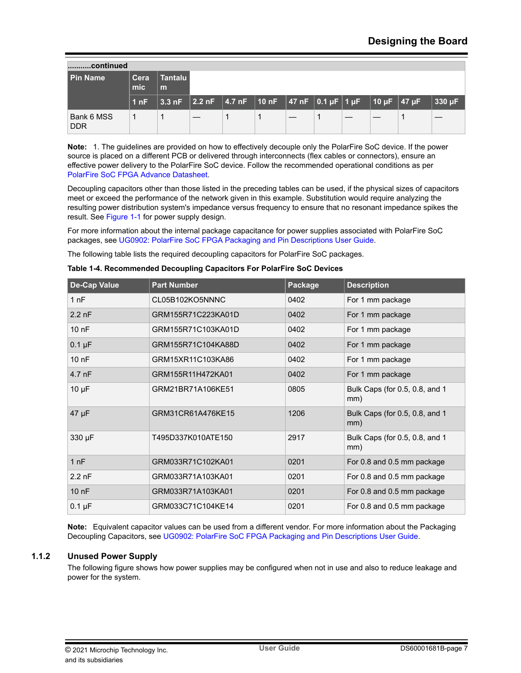<span id="page-6-0"></span>

| continued                |             |                                                                                                                                                  |  |  |  |  |  |  |  |        |
|--------------------------|-------------|--------------------------------------------------------------------------------------------------------------------------------------------------|--|--|--|--|--|--|--|--------|
| l Pin Name               | Cera<br>mic | Tantalu I<br>m                                                                                                                                   |  |  |  |  |  |  |  |        |
|                          | 1 nF        | $\sqrt{3.3 \text{ nF} + 2.2 \text{ nF} + 4.7 \text{ nF} + 10 \text{ nF} + \sqrt{47 \text{ nF} + 0.1 \text{ pF} + 10 \text{ pF} + 47 \text{ pF}}$ |  |  |  |  |  |  |  | 330 µF |
| Bank 6 MSS<br><b>DDR</b> | 1           |                                                                                                                                                  |  |  |  |  |  |  |  |        |

**Note:**  1. The guidelines are provided on how to effectively decouple only the PolarFire SoC device. If the power source is placed on a different PCB or delivered through interconnects (flex cables or connectors), ensure an effective power delivery to the PolarFire SoC device. Follow the recommended operational conditions as per [PolarFire SoC FPGA Advance Datasheet.](http://www.microsemi.com/index.php?option=com_docman&task=doc_download&gid=1244583)

Decoupling capacitors other than those listed in the preceding tables can be used, if the physical sizes of capacitors meet or exceed the performance of the network given in this example. Substitution would require analyzing the resulting power distribution system's impedance versus frequency to ensure that no resonant impedance spikes the result. See [Figure 1-1](#page-3-0) for power supply design.

For more information about the internal package capacitance for power supplies associated with PolarFire SoC packages, see [UG0902: PolarFire SoC FPGA Packaging and Pin Descriptions User Guide.](http://www.microsemi.com/index.php?option=com_docman&task=doc_download&gid=1244577)

The following table lists the required decoupling capacitors for PolarFire SoC packages.

| Table 1-4. Recommended Decoupling Capacitors For PolarFire SoC Devices |  |  |
|------------------------------------------------------------------------|--|--|

| <b>De-Cap Value</b> | <b>Part Number</b> | Package | <b>Description</b>                    |
|---------------------|--------------------|---------|---------------------------------------|
| 1nF                 | CL05B102KO5NNNC    | 0402    | For 1 mm package                      |
| $2.2$ nF            | GRM155R71C223KA01D | 0402    | For 1 mm package                      |
| 10 nF               | GRM155R71C103KA01D | 0402    | For 1 mm package                      |
| $0.1 \mu F$         | GRM155R71C104KA88D | 0402    | For 1 mm package                      |
| $100$ nF            | GRM15XR11C103KA86  | 0402    | For 1 mm package                      |
| 4.7 nF              | GRM155R11H472KA01  | 0402    | For 1 mm package                      |
| $10 \mu F$          | GRM21BR71A106KE51  | 0805    | Bulk Caps (for 0.5, 0.8, and 1<br>mm) |
| $47 \mu F$          | GRM31CR61A476KE15  | 1206    | Bulk Caps (for 0.5, 0.8, and 1<br>mm) |
| 330 µF              | T495D337K010ATE150 | 2917    | Bulk Caps (for 0.5, 0.8, and 1<br>mm) |
| 1 nF                | GRM033R71C102KA01  | 0201    | For 0.8 and 0.5 mm package            |
| $2.2$ nF            | GRM033R71A103KA01  | 0201    | For 0.8 and 0.5 mm package            |
| $100$ nF            | GRM033R71A103KA01  | 0201    | For 0.8 and 0.5 mm package            |
| $0.1 \mu F$         | GRM033C71C104KE14  | 0201    | For 0.8 and 0.5 mm package            |

**Note:**  Equivalent capacitor values can be used from a different vendor. For more information about the Packaging Decoupling Capacitors, see [UG0902: PolarFire SoC FPGA Packaging and Pin Descriptions User Guide.](http://www.microsemi.com/index.php?option=com_docman&task=doc_download&gid=1244577)

## **1.1.2 Unused Power Supply**

The following figure shows how power supplies may be configured when not in use and also to reduce leakage and power for the system.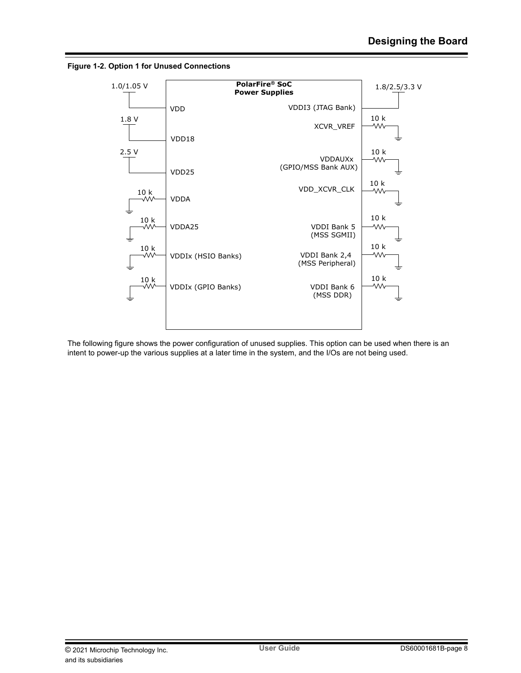



The following figure shows the power configuration of unused supplies. This option can be used when there is an intent to power-up the various supplies at a later time in the system, and the I/Os are not being used.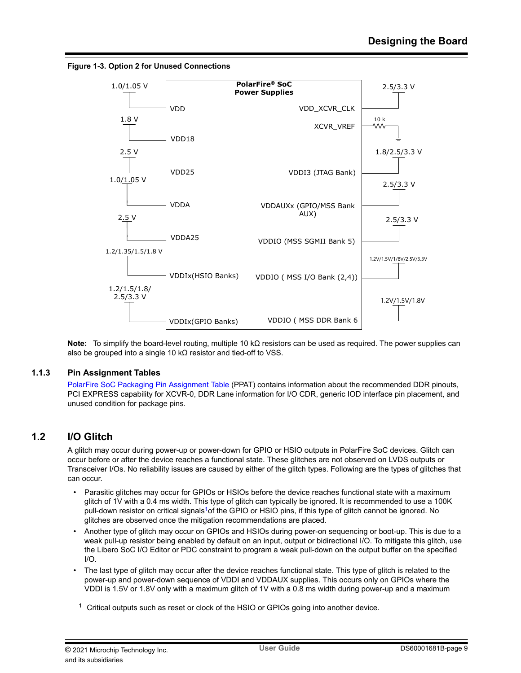<span id="page-8-0"></span>



**Note:**  To simplify the board-level routing, multiple 10 kΩ resistors can be used as required. The power supplies can also be grouped into a single 10 kΩ resistor and tied-off to VSS.

### **1.1.3 Pin Assignment Tables**

[PolarFire SoC Packaging Pin Assignment Table](http://www.microsemi.com/index.php?option=com_docman&task=doc_download&gid=1244585) (PPAT) contains information about the recommended DDR pinouts, PCI EXPRESS capability for XCVR-0, DDR Lane information for I/O CDR, generic IOD interface pin placement, and unused condition for package pins.

## **1.2 I/O Glitch**

A glitch may occur during power-up or power-down for GPIO or HSIO outputs in PolarFire SoC devices. Glitch can occur before or after the device reaches a functional state. These glitches are not observed on LVDS outputs or Transceiver I/Os. No reliability issues are caused by either of the glitch types. Following are the types of glitches that can occur.

- Parasitic glitches may occur for GPIOs or HSIOs before the device reaches functional state with a maximum glitch of 1V with a 0.4 ms width. This type of glitch can typically be ignored. It is recommended to use a 100K pull-down resistor on critical signals<sup>1</sup> of the GPIO or HSIO pins, if this type of glitch cannot be ignored. No glitches are observed once the mitigation recommendations are placed.
- Another type of glitch may occur on GPIOs and HSIOs during power-on sequencing or boot-up. This is due to a weak pull-up resistor being enabled by default on an input, output or bidirectional I/O. To mitigate this glitch, use the Libero SoC I/O Editor or PDC constraint to program a weak pull-down on the output buffer on the specified  $I/O$ .
- The last type of glitch may occur after the device reaches functional state. This type of glitch is related to the power-up and power-down sequence of VDDI and VDDAUX supplies. This occurs only on GPIOs where the VDDI is 1.5V or 1.8V only with a maximum glitch of 1V with a 0.8 ms width during power-up and a maximum

<sup>1</sup> Critical outputs such as reset or clock of the HSIO or GPIOs going into another device.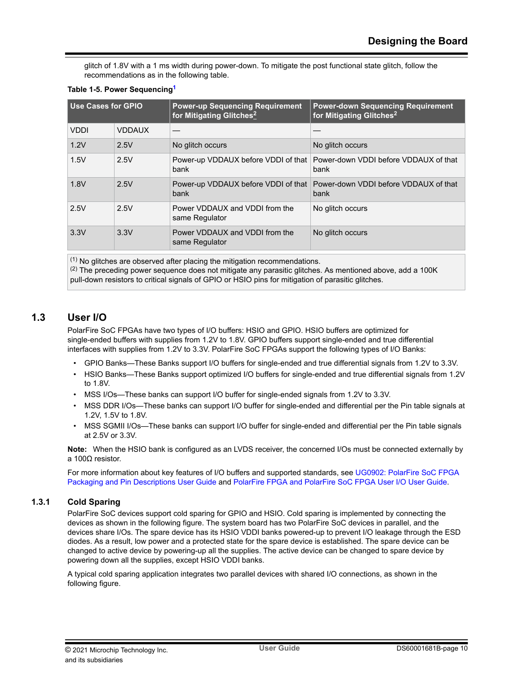<span id="page-9-0"></span>glitch of 1.8V with a 1 ms width during power-down. To mitigate the post functional state glitch, follow the recommendations as in the following table.

| Use Cases for GPIO |               | <b>Power-up Sequencing Requirement</b><br>for Mitigating Glitches <sup>2</sup> | <b>Power-down Sequencing Requirement</b><br>for Mitigating Glitches <sup>2</sup>    |  |  |
|--------------------|---------------|--------------------------------------------------------------------------------|-------------------------------------------------------------------------------------|--|--|
| <b>VDDI</b>        | <b>VDDAUX</b> |                                                                                |                                                                                     |  |  |
| 1.2V               | 2.5V          | No glitch occurs                                                               | No glitch occurs                                                                    |  |  |
| 1.5V               | 2.5V          | bank                                                                           | Power-up VDDAUX before VDDI of that   Power-down VDDI before VDDAUX of that<br>bank |  |  |
| 1.8V               | 2.5V          | bank                                                                           | Power-up VDDAUX before VDDI of that Power-down VDDI before VDDAUX of that<br>bank   |  |  |
| 2.5V               | 2.5V          | Power VDDAUX and VDDI from the<br>same Regulator                               | No glitch occurs                                                                    |  |  |
| 3.3V               | 3.3V          | Power VDDAUX and VDDI from the<br>same Regulator                               | No glitch occurs                                                                    |  |  |

#### **Table 1-5. Power Sequencing<sup>1</sup>**

(1) No glitches are observed after placing the mitigation recommendations.

 $(2)$  The preceding power sequence does not mitigate any parasitic glitches. As mentioned above, add a 100K pull-down resistors to critical signals of GPIO or HSIO pins for mitigation of parasitic glitches.

## **1.3 User I/O**

PolarFire SoC FPGAs have two types of I/O buffers: HSIO and GPIO. HSIO buffers are optimized for single-ended buffers with supplies from 1.2V to 1.8V. GPIO buffers support single-ended and true differential interfaces with supplies from 1.2V to 3.3V. PolarFire SoC FPGAs support the following types of I/O Banks:

- GPIO Banks—These Banks support I/O buffers for single-ended and true differential signals from 1.2V to 3.3V.
- HSIO Banks—These Banks support optimized I/O buffers for single-ended and true differential signals from 1.2V to 1.8V.
- MSS I/Os—These banks can support I/O buffer for single-ended signals from 1.2V to 3.3V.
- MSS DDR I/Os—These banks can support I/O buffer for single-ended and differential per the Pin table signals at 1.2V, 1.5V to 1.8V.
- MSS SGMII I/Os—These banks can support I/O buffer for single-ended and differential per the Pin table signals at 2.5V or 3.3V.

**Note:**  When the HSIO bank is configured as an LVDS receiver, the concerned I/Os must be connected externally by a 100Ω resistor.

For more information about key features of I/O buffers and supported standards, see [UG0902: PolarFire SoC FPGA](http://www.microsemi.com/index.php?option=com_docman&task=doc_download&gid=1244577) [Packaging and Pin Descriptions User Guide](http://www.microsemi.com/index.php?option=com_docman&task=doc_download&gid=1244577) and [PolarFire FPGA and PolarFire SoC FPGA User I/O User Guide.](http://www.microsemi.com/index.php?option=com_docman&task=doc_download&gid=1245817)

## **1.3.1 Cold Sparing**

PolarFire SoC devices support cold sparing for GPIO and HSIO. Cold sparing is implemented by connecting the devices as shown in the following figure. The system board has two PolarFire SoC devices in parallel, and the devices share I/Os. The spare device has its HSIO VDDI banks powered-up to prevent I/O leakage through the ESD diodes. As a result, low power and a protected state for the spare device is established. The spare device can be changed to active device by powering-up all the supplies. The active device can be changed to spare device by powering down all the supplies, except HSIO VDDI banks.

A typical cold sparing application integrates two parallel devices with shared I/O connections, as shown in the following figure.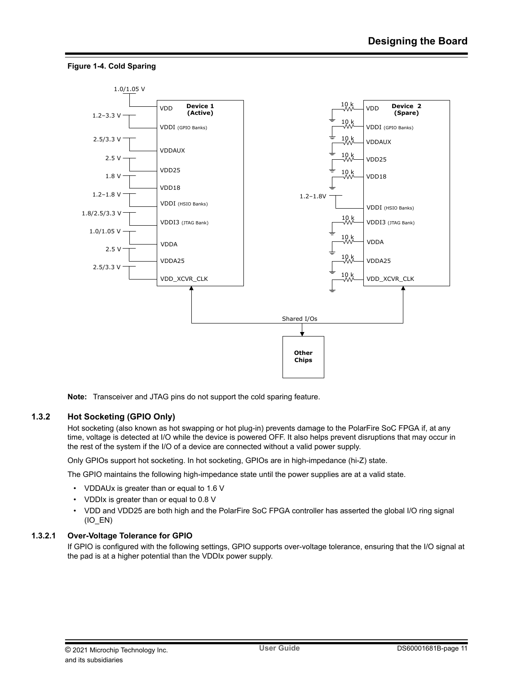

#### **Figure 1-4. Cold Sparing**

**Note:**  Transceiver and JTAG pins do not support the cold sparing feature.

### **1.3.2 Hot Socketing (GPIO Only)**

Hot socketing (also known as hot swapping or hot plug-in) prevents damage to the PolarFire SoC FPGA if, at any time, voltage is detected at I/O while the device is powered OFF. It also helps prevent disruptions that may occur in the rest of the system if the I/O of a device are connected without a valid power supply.

Only GPIOs support hot socketing. In hot socketing, GPIOs are in high-impedance (hi-Z) state.

The GPIO maintains the following high-impedance state until the power supplies are at a valid state.

- VDDAUx is greater than or equal to 1.6 V
- VDDIx is greater than or equal to 0.8 V
- VDD and VDD25 are both high and the PolarFire SoC FPGA controller has asserted the global I/O ring signal  $(IO$  EN)

#### **1.3.2.1 Over-Voltage Tolerance for GPIO**

If GPIO is configured with the following settings, GPIO supports over-voltage tolerance, ensuring that the I/O signal at the pad is at a higher potential than the VDDIx power supply.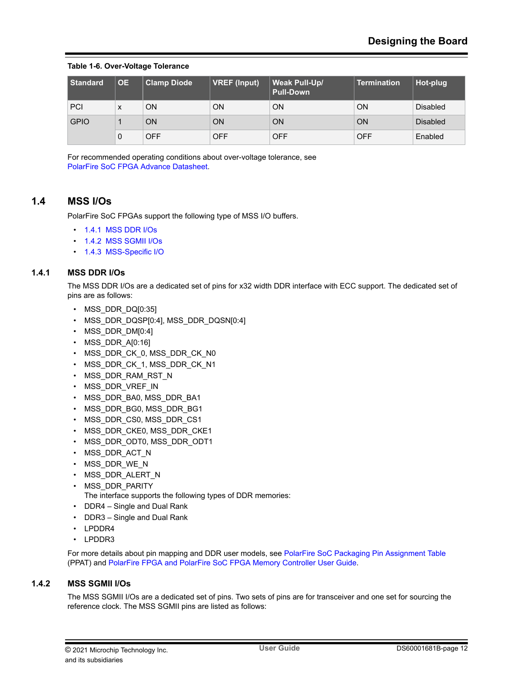#### <span id="page-11-0"></span>**Table 1-6. Over-Voltage Tolerance**

| Standard    | <b>OE</b> | <b>Clamp Diode</b> | <b>VREF (Input)</b> | <b>Weak Pull-Up/</b><br><b>Pull-Down</b> | <b>Termination</b> | Hot-plug        |
|-------------|-----------|--------------------|---------------------|------------------------------------------|--------------------|-----------------|
| <b>PCI</b>  | X         | ON                 | ON                  | ON                                       | ON                 | <b>Disabled</b> |
| <b>GPIO</b> |           | ON                 | ON                  | ON                                       | ON                 | <b>Disabled</b> |
|             | 0         | <b>OFF</b>         | <b>OFF</b>          | <b>OFF</b>                               | <b>OFF</b>         | Enabled         |

For recommended operating conditions about over-voltage tolerance, see [PolarFire SoC FPGA Advance Datasheet.](http://www.microsemi.com/index.php?option=com_docman&task=doc_download&gid=1244583)

## **1.4 MSS I/Os**

PolarFire SoC FPGAs support the following type of MSS I/O buffers.

- 1.4.1 MSS DDR I/Os
- 1.4.2 MSS SGMII I/Os
- [1.4.3 MSS-Specific I/O](#page-12-0)

### **1.4.1 MSS DDR I/Os**

The MSS DDR I/Os are a dedicated set of pins for x32 width DDR interface with ECC support. The dedicated set of pins are as follows:

- MSS DDR DQ[0:35]
- MSS\_DDR\_DQSP[0:4], MSS\_DDR\_DQSN[0:4]
- MSS\_DDR\_DM[0:4]
- MSS DDR A[0:16]
- MSS\_DDR\_CK\_0, MSS\_DDR\_CK\_N0
- MSS\_DDR\_CK\_1, MSS\_DDR\_CK\_N1
- MSS\_DDR\_RAM\_RST\_N
- MSS\_DDR\_VREF\_IN
- MSS\_DDR\_BA0, MSS\_DDR\_BA1
- MSS\_DDR\_BG0, MSS\_DDR\_BG1
- MSS\_DDR\_CS0, MSS\_DDR\_CS1
- MSS\_DDR\_CKE0, MSS\_DDR\_CKE1
- MSS DDR ODT0, MSS DDR ODT1
- MSS\_DDR\_ACT\_N
- MSS\_DDR\_WE\_N
- MSS\_DDR\_ALERT\_N
- MSS\_DDR\_PARITY

The interface supports the following types of DDR memories:

- DDR4 Single and Dual Rank
- DDR3 Single and Dual Rank
- LPDDR4
- LPDDR3

For more details about pin mapping and DDR user models, see [PolarFire SoC Packaging Pin Assignment Table](http://www.microsemi.com/index.php?option=com_docman&task=doc_download&gid=1244585) (PPAT) and [PolarFire FPGA and PolarFire SoC FPGA Memory Controller User Guide](http://www.microsemi.com/index.php?option=com_docman&task=doc_download&gid=1245819).

#### **1.4.2 MSS SGMII I/Os**

The MSS SGMII I/Os are a dedicated set of pins. Two sets of pins are for transceiver and one set for sourcing the reference clock. The MSS SGMII pins are listed as follows: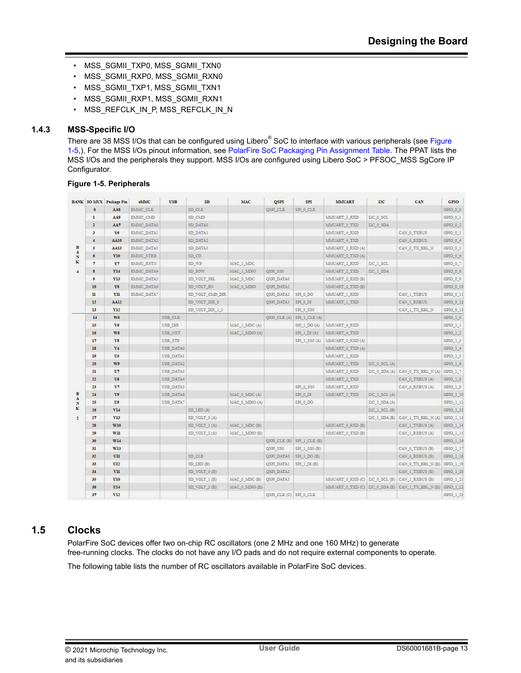- <span id="page-12-0"></span>• MSS\_SGMII\_TXP0, MSS\_SGMII\_TXN0
- MSS\_SGMII\_RXP0, MSS\_SGMII\_RXN0
- MSS\_SGMII\_TXP1, MSS\_SGMII\_TXN1
- MSS\_SGMII\_RXP1, MSS\_SGMII\_RXN1
- MSS\_REFCLK\_IN\_P, MSS\_REFCLK\_IN\_N

## **1.4.3 MSS-Specific I/O**

There are 38 MSS I/Os that can be configured using Libero<sup>®</sup> SoC to interface with various peripherals (see Figure 1-5,). For the MSS I/Os pinout information, see [PolarFire SoC Packaging Pin Assignment Table.](http://www.microsemi.com/index.php?option=com_docman&task=doc_download&gid=1244585) The PPAT lists the MSS I/Os and the peripherals they support. MSS I/Os are configured using Libero SoC > PFSOC\_MSS SgCore IP Configurator.

### **Figure 1-5. Peripherals**

|                              |                     | <b>BANK IO MUX Package Pin</b> | ALC               | <b>USB</b> | SD              | <b>MAC</b>     | <b>QSPI</b>           | <b>SPI</b>               | <b>MMUART</b>                  | 12C              | CAN                                               | <b>GPIO</b>           |
|------------------------------|---------------------|--------------------------------|-------------------|------------|-----------------|----------------|-----------------------|--------------------------|--------------------------------|------------------|---------------------------------------------------|-----------------------|
|                              | $\ddot{\mathbf{0}}$ | AAS                            | <b>EMMC CLK</b>   |            | SD CLK          |                | QSPI_CLK              | SPI 0 CLK                |                                |                  |                                                   | GP10 0 0              |
|                              | 1                   | <b>AA9</b>                     | EMMC_CMD          |            | SD CMD          |                |                       |                          | MMUART 3 RXD                   | I2C_0_SCL        |                                                   | GMO_0_1               |
|                              | 2                   | AA7                            | EMMC DATA0        |            | SD DATA0        |                |                       |                          | MMUART 3 TXD                   | 12C 0 SDA        |                                                   | 0900.0.2              |
|                              | $\mathbf{3}$        | Yó                             | EMMC DATA1        |            | <b>SD_DATA1</b> |                |                       |                          | MMUART 4 RMD                   |                  | CAN O TXBUS                                       | GP10_0_3              |
|                              | $\overline{4}$      | AA10                           | EMMC_DATA2        |            | <b>SD_DATA2</b> |                |                       |                          | MMUART_4_TXD                   |                  | CAN_0_RXBUS                                       | GP10_0_4              |
| в                            | s.                  | AAI3                           | EMMC_DATA3        |            | SD_DATA3        |                |                       |                          | MMUART 0 RXD (A)               |                  | CAN 0 TX EBL N                                    | GPIO_0_S              |
| $\mathbf{A}$<br>$\mathbf{x}$ | ä                   | Y10                            | <b>EMMC STRE</b>  |            | SD CD           |                |                       |                          | MONUART & TXD (A)              |                  |                                                   | GPIO 0.6              |
| к                            | $\overline{\tau}$   | Y7                             | EMMC_RSTN         |            | SD WP           | MAC_1_MDC      |                       |                          | MMUART 2 RXD                   | IDC_1_SCL        |                                                   | GP10_0_7              |
| $\overline{4}$               | s                   | ¥14                            | EMMC_DATA4        |            | SD POW          | MAC 1 MDIO     | QSPI_5S0              |                          | MMUART 2 TXD                   | IDC 1 SDA        |                                                   | GP10_0_8              |
|                              | ۰                   | Y13                            | <b>EMMC DATAS</b> |            | SD VOLT SEL     | MAC 0 MDC      | QSPI DATA0            |                          | MMUART 0 RND (B)               |                  |                                                   | GPIO 0 9              |
|                              | 10                  | Y3                             | EMMC_DATA6        |            | SD_VOLT_EN      | MAC 0 MDIO     | QSPL DATA1            |                          | MMUART 0 TXD (B)               |                  |                                                   | GP10_0_10             |
|                              | $\mathbf{u}$        | V11                            | EMMC DATA?        |            | SD_VOLT_CMD_DIR |                | QSPI_DATA2            | SPI 0 DO                 | MMUART 1 RND                   |                  | CAN I TXBUS                                       | GP10_0_11             |
|                              | 12                  | AAI2                           |                   |            | SD VOLT DIR 0   |                | QSPI DATA3            | SPI 0 DI                 | MMUART 1 TXD                   |                  | CAN I RXBUS                                       | 0900 0 12             |
|                              | 13                  | Y12                            |                   |            | SD_VOLT_DIR_1_3 |                |                       | SPI 0 SS0                |                                |                  | CAN_1_TX_BBL_N                                    | GP10_0_13             |
|                              | 14                  | W6                             |                   | USB CLK    |                 |                |                       | QSPI_CLK(A) SPI_1_CLK(A) |                                |                  |                                                   | GP10_1_0              |
|                              | 15                  | V6                             |                   | USB DIR    |                 | MAC_I_MDC(A)   |                       | SPI 1 DO (A)             | MMUART 4 RND                   |                  |                                                   | 0910 1 1              |
|                              | 16                  | ws                             |                   | USB_NXT    |                 | MAC_1_MDIO (A) |                       | SPI_1_DI (A)             | MMUART 4 TXD                   |                  |                                                   | GPIO_1_2              |
|                              | 17                  | VS.                            |                   | USB STP    |                 |                |                       | SPI 1 SS0 (A)            | MMUART 0 R3D (A)               |                  |                                                   | GP50_1_3              |
|                              | 18                  | V4                             |                   | USB DATA0  |                 |                |                       |                          | MMUART 0 TXD (A)               |                  |                                                   | GP10 1 4              |
|                              | 19                  | US                             |                   | USB DATA1  |                 |                |                       |                          | MMUART I RXD                   |                  |                                                   | GP10_1_5              |
|                              | 20                  | W9                             |                   | USB_DATA2  |                 |                |                       |                          | MMUART_1_TXD                   | I2C_0_SCL (A)    |                                                   | GP10_1_6              |
|                              | 21                  | U7                             |                   | USB_DATA3  |                 |                |                       |                          | MMUART 2 RXD                   |                  | IDC_0_SDA(A) CAN_0_TX_EBL_N(A)                    | GP10 1 7              |
|                              | 22                  | U6                             |                   | USB DATA4  |                 |                |                       |                          | MMUART 2 TND                   |                  | CAN 0_TXBUS(A)                                    | OPIO I S              |
|                              | 23                  | V7                             |                   | USB_DATA5  |                 |                |                       | SPI 0 SS0                | MMUART 3 RND                   |                  | CAN 0 RXBUS (A)                                   | GP10_1_9              |
| в                            | 24                  | V9                             |                   | USB DATAS  |                 | MAC 0 MDC (A)  |                       | SPI 0 DI                 | MMUART 3 TXD                   | $DC_1$ SCL $(A)$ |                                                   | GP10 1 10             |
| $\mathbf{A}$<br>N            | 25                  | U\$                            |                   | USB DATA?  |                 | MAC 0 MDIO (A) |                       | SPI 0 DO                 |                                | IDC I SDA(A)     |                                                   | OPIO 1_11             |
| ĸ                            | 26                  | VI4                            |                   |            | SD_LED (A)      |                |                       |                          |                                | IDC_1_SCL (B)    |                                                   | GPIO <sub>11</sub> 12 |
| $\mathbf{z}$                 | 27                  | V13                            |                   |            | SD_VOLT_0(A)    |                |                       |                          |                                |                  | IDC_1_SDA(B) CAN_1_TX_EBL_N(A)                    | GP10_1_13             |
|                              | 28                  | <b>W10</b>                     |                   |            | SD_VOLT_I(A)    | MAC 1 MDC (B)  |                       |                          | MMUART 0 RJD (B)               |                  | CAN I TXBUS (A)                                   | 0910_1_14             |
|                              | 29                  | wii                            |                   |            | SD_VOLT_2(A)    | MAC 1 MDIO (B) |                       |                          | MMUART 0 TXD (B)               |                  | CAN_1_RXBUS(A)                                    | GP10 1 15             |
|                              | 30                  | <b>W14</b>                     |                   |            |                 |                |                       | QSPI_CLK(B) SPI_1_CLK(B) |                                |                  |                                                   | GP10_1_16             |
|                              | 31                  | W13                            |                   |            |                 |                | QSPI SSO              | SP( 1 SSO (B)            |                                |                  | CAN_0_TXBUS(B)                                    | GPIO 1 17             |
|                              | 32                  | UII                            |                   |            | SD-CLE          |                | <b>QSPI DATAO</b>     | SPI I DO (B)             |                                |                  | CAN & RXBUS (B)                                   | GPTO 1 11             |
|                              | 33                  | U12                            |                   |            | SD_LED(B)       |                | <b>QSPI DATA!</b>     | SPL 1_DI (B)             |                                |                  | CAN 0 TX EBL N(B)                                 | GP10_1_19             |
|                              | 34                  | v <sub>II</sub>                |                   |            | SD_VOLT_0(B)    |                | QSPI DATA2            |                          |                                |                  | CAN I TXBUS (B)                                   | GP10 1_20             |
|                              | 35                  | U10                            |                   |            | SD_VOLT_1(B)    | MAC 0 MDC (B)  | QSPI DATA3            |                          | MMUART 0 RXD (C) IDC 0 SCL (B) |                  | CAN 1 RXBUS (B)                                   | OPIO_1_21             |
|                              | 36                  | U14                            |                   |            | SD VOLT 2(B)    | MAC 0 MDIO (B) |                       |                          |                                |                  | MMUART 0 TXD (C) LIC 0 SDA (B) CAN 1 TX EBL N (B) | GP10_1_22             |
|                              | 37                  | V12                            |                   |            |                 |                | QSPI_CLK(C) SPI_0_CLK |                          |                                |                  |                                                   | GP10 1 23             |

## **1.5 Clocks**

PolarFire SoC devices offer two on-chip RC oscillators (one 2 MHz and one 160 MHz) to generate free-running clocks. The clocks do not have any I/O pads and do not require external components to operate.

The following table lists the number of RC oscillators available in PolarFire SoC devices.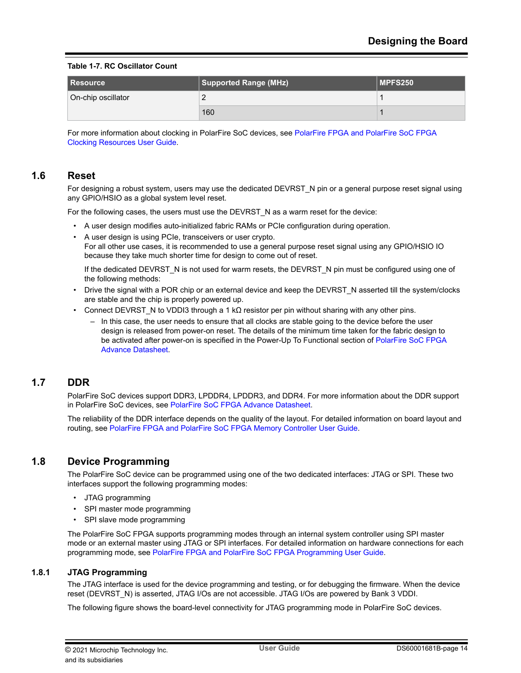#### <span id="page-13-0"></span>**Table 1-7. RC Oscillator Count**

| I Resource         | Supported Range (MHz) | MPFS250 |
|--------------------|-----------------------|---------|
| On-chip oscillator |                       |         |
|                    | 160                   |         |

For more information about clocking in PolarFire SoC devices, see [PolarFire FPGA and PolarFire SoC FPGA](http://www.microsemi.com/index.php?option=com_docman&task=doc_download&gid=1245810) [Clocking Resources User Guide](http://www.microsemi.com/index.php?option=com_docman&task=doc_download&gid=1245810).

## **1.6 Reset**

For designing a robust system, users may use the dedicated DEVRST N pin or a general purpose reset signal using any GPIO/HSIO as a global system level reset.

For the following cases, the users must use the DEVRST\_N as a warm reset for the device:

- A user design modifies auto-initialized fabric RAMs or PCIe configuration during operation.
- A user design is using PCIe, transceivers or user crypto. For all other use cases, it is recommended to use a general purpose reset signal using any GPIO/HSIO IO because they take much shorter time for design to come out of reset.

If the dedicated DEVRST\_N is not used for warm resets, the DEVRST\_N pin must be configured using one of the following methods:

- Drive the signal with a POR chip or an external device and keep the DEVRST\_N asserted till the system/clocks are stable and the chip is properly powered up.
- Connect DEVRST N to VDDI3 through a 1 kΩ resistor per pin without sharing with any other pins.
	- In this case, the user needs to ensure that all clocks are stable going to the device before the user design is released from power-on reset. The details of the minimum time taken for the fabric design to be activated after power-on is specified in the Power-Up To Functional section of [PolarFire SoC FPGA](http://www.microsemi.com/index.php?option=com_docman&task=doc_download&gid=1244583) [Advance Datasheet.](http://www.microsemi.com/index.php?option=com_docman&task=doc_download&gid=1244583)

## **1.7 DDR**

PolarFire SoC devices support DDR3, LPDDR4, LPDDR3, and DDR4. For more information about the DDR support in PolarFire SoC devices, see [PolarFire SoC FPGA Advance Datasheet.](http://www.microsemi.com/index.php?option=com_docman&task=doc_download&gid=1244583)

The reliability of the DDR interface depends on the quality of the layout. For detailed information on board layout and routing, see [PolarFire FPGA and PolarFire SoC FPGA Memory Controller User Guide](http://www.microsemi.com/index.php?option=com_docman&task=doc_download&gid=1245819).

## **1.8 Device Programming**

The PolarFire SoC device can be programmed using one of the two dedicated interfaces: JTAG or SPI. These two interfaces support the following programming modes:

- JTAG programming
- SPI master mode programming
- SPI slave mode programming

The PolarFire SoC FPGA supports programming modes through an internal system controller using SPI master mode or an external master using JTAG or SPI interfaces. For detailed information on hardware connections for each programming mode, see [PolarFire FPGA and PolarFire SoC FPGA Programming User Guide](http://www.microsemi.com/index.php?option=com_docman&task=doc_download&gid=1245813).

#### **1.8.1 JTAG Programming**

The JTAG interface is used for the device programming and testing, or for debugging the firmware. When the device reset (DEVRST\_N) is asserted, JTAG I/Os are not accessible. JTAG I/Os are powered by Bank 3 VDDI.

The following figure shows the board-level connectivity for JTAG programming mode in PolarFire SoC devices.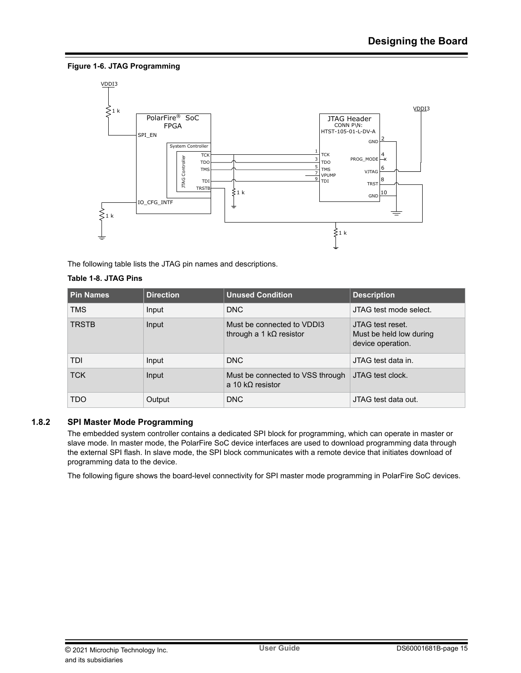### **Figure 1-6. JTAG Programming**



The following table lists the JTAG pin names and descriptions.

### **Table 1-8. JTAG Pins**

| <b>Pin Names</b> | <b>Direction</b> | <b>Unused Condition</b>                                       | <b>Description</b>                                               |
|------------------|------------------|---------------------------------------------------------------|------------------------------------------------------------------|
| <b>TMS</b>       | Input            | <b>DNC</b>                                                    | JTAG test mode select.                                           |
| <b>TRSTB</b>     | Input            | Must be connected to VDDI3<br>through a 1 k $\Omega$ resistor | JTAG test reset.<br>Must be held low during<br>device operation. |
| <b>TDI</b>       | Input            | <b>DNC</b>                                                    | JTAG test data in.                                               |
| <b>TCK</b>       | Input            | Must be connected to VSS through<br>a 10 k $\Omega$ resistor  | JTAG test clock.                                                 |
| <b>TDO</b>       | Output           | <b>DNC</b>                                                    | JTAG test data out.                                              |

## **1.8.2 SPI Master Mode Programming**

The embedded system controller contains a dedicated SPI block for programming, which can operate in master or slave mode. In master mode, the PolarFire SoC device interfaces are used to download programming data through the external SPI flash. In slave mode, the SPI block communicates with a remote device that initiates download of programming data to the device.

The following figure shows the board-level connectivity for SPI master mode programming in PolarFire SoC devices.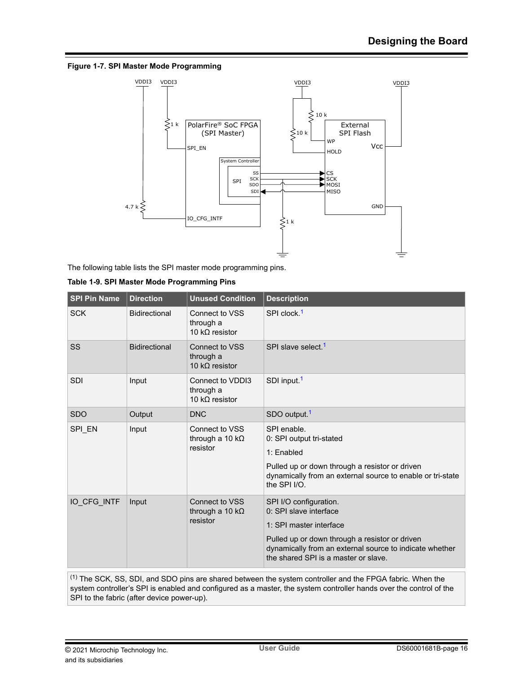#### **Figure 1-7. SPI Master Mode Programming**



The following table lists the SPI master mode programming pins.

| <b>SPI Pin Name</b> | <b>Direction</b>     | <b>Unused Condition</b>                                      | <b>Description</b>                                                                                                                                                                                                               |
|---------------------|----------------------|--------------------------------------------------------------|----------------------------------------------------------------------------------------------------------------------------------------------------------------------------------------------------------------------------------|
| <b>SCK</b>          | Bidirectional        | Connect to VSS<br>through a<br>10 k $\Omega$ resistor        | SPI clock. <sup>1</sup>                                                                                                                                                                                                          |
| <b>SS</b>           | <b>Bidirectional</b> | <b>Connect to VSS</b><br>through a<br>10 k $\Omega$ resistor | SPI slave select. <sup>1</sup>                                                                                                                                                                                                   |
| <b>SDI</b>          | Input                | Connect to VDDI3<br>through a<br>10 k $\Omega$ resistor      | SDI input. <sup>1</sup>                                                                                                                                                                                                          |
| <b>SDO</b>          | Output               | <b>DNC</b>                                                   | SDO output. <sup>1</sup>                                                                                                                                                                                                         |
| SPI EN              | Input                | Connect to VSS<br>through a 10 k $\Omega$<br>resistor        | SPI enable.<br>0: SPI output tri-stated<br>1: Enabled<br>Pulled up or down through a resistor or driven<br>dynamically from an external source to enable or tri-state<br>the SPI I/O.                                            |
| IO CFG INTF         | Input                | Connect to VSS<br>through a 10 k $\Omega$<br>resistor        | SPI I/O configuration.<br>0: SPI slave interface<br>1: SPI master interface<br>Pulled up or down through a resistor or driven<br>dynamically from an external source to indicate whether<br>the shared SPI is a master or slave. |

|  |  |  | Table 1-9. SPI Master Mode Programming Pins |  |
|--|--|--|---------------------------------------------|--|
|--|--|--|---------------------------------------------|--|

(1) The SCK, SS, SDI, and SDO pins are shared between the system controller and the FPGA fabric. When the system controller's SPI is enabled and configured as a master, the system controller hands over the control of the SPI to the fabric (after device power-up).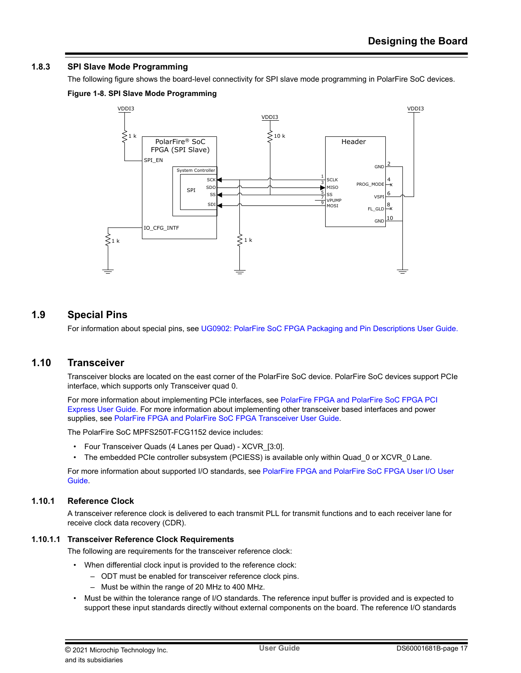## <span id="page-16-0"></span>**1.8.3 SPI Slave Mode Programming**

The following figure shows the board-level connectivity for SPI slave mode programming in PolarFire SoC devices.

### **Figure 1-8. SPI Slave Mode Programming**



## **1.9 Special Pins**

For information about special pins, see [UG0902: PolarFire SoC FPGA Packaging and Pin Descriptions User Guide.](http://www.microsemi.com/index.php?option=com_docman&task=doc_download&gid=1244577)

## **1.10 Transceiver**

Transceiver blocks are located on the east corner of the PolarFire SoC device. PolarFire SoC devices support PCIe interface, which supports only Transceiver quad 0.

For more information about implementing PCIe interfaces, see [PolarFire FPGA and PolarFire SoC FPGA PCI](http://www.microsemi.com/index.php?option=com_docman&task=doc_download&gid=1245812) [Express User Guide.](http://www.microsemi.com/index.php?option=com_docman&task=doc_download&gid=1245812) For more information about implementing other transceiver based interfaces and power supplies, see [PolarFire FPGA and PolarFire SoC FPGA Transceiver User Guide.](http://www.microsemi.com/index.php?option=com_docman&task=doc_download&gid=1245816)

The PolarFire SoC MPFS250T-FCG1152 device includes:

- Four Transceiver Quads (4 Lanes per Quad) XCVR\_[3:0].
- The embedded PCIe controller subsystem (PCIESS) is available only within Quad\_0 or XCVR\_0 Lane.

For more information about supported I/O standards, see [PolarFire FPGA and PolarFire SoC FPGA User I/O User](http://www.microsemi.com/index.php?option=com_docman&task=doc_download&gid=1245817) [Guide](http://www.microsemi.com/index.php?option=com_docman&task=doc_download&gid=1245817).

### **1.10.1 Reference Clock**

A transceiver reference clock is delivered to each transmit PLL for transmit functions and to each receiver lane for receive clock data recovery (CDR).

#### **1.10.1.1 Transceiver Reference Clock Requirements**

The following are requirements for the transceiver reference clock:

- When differential clock input is provided to the reference clock:
	- ODT must be enabled for transceiver reference clock pins.
	- Must be within the range of 20 MHz to 400 MHz.
- Must be within the tolerance range of I/O standards. The reference input buffer is provided and is expected to support these input standards directly without external components on the board. The reference I/O standards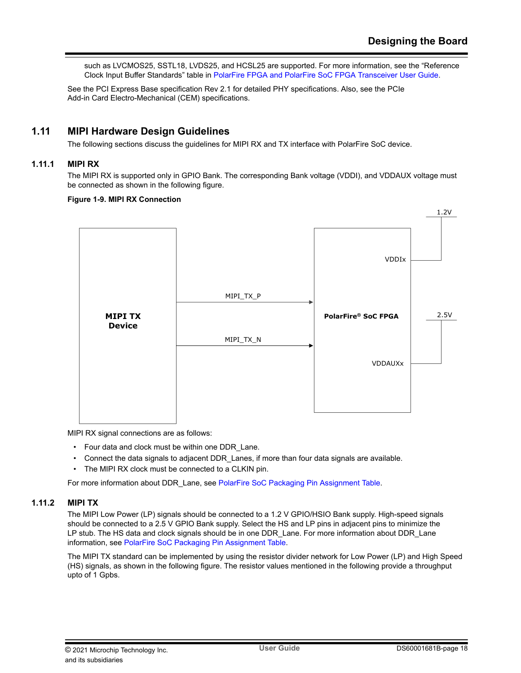<span id="page-17-0"></span>such as LVCMOS25, SSTL18, LVDS25, and HCSL25 are supported. For more information, see the "Reference Clock Input Buffer Standards" table in [PolarFire FPGA and PolarFire SoC FPGA Transceiver User Guide](http://www.microsemi.com/index.php?option=com_docman&task=doc_download&gid=1245816).

See the PCI Express Base specification Rev 2.1 for detailed PHY specifications. Also, see the PCIe Add-in Card Electro-Mechanical (CEM) specifications.

## **1.11 MIPI Hardware Design Guidelines**

The following sections discuss the guidelines for MIPI RX and TX interface with PolarFire SoC device.

### **1.11.1 MIPI RX**

The MIPI RX is supported only in GPIO Bank. The corresponding Bank voltage (VDDI), and VDDAUX voltage must be connected as shown in the following figure.

#### **Figure 1-9. MIPI RX Connection**



MIPI RX signal connections are as follows:

- Four data and clock must be within one DDR\_Lane.
- Connect the data signals to adjacent DDR\_Lanes, if more than four data signals are available.
- The MIPI RX clock must be connected to a CLKIN pin.

For more information about DDR\_Lane, see [PolarFire SoC Packaging Pin Assignment Table](http://www.microsemi.com/index.php?option=com_docman&task=doc_download&gid=1244585).

#### **1.11.2 MIPI TX**

The MIPI Low Power (LP) signals should be connected to a 1.2 V GPIO/HSIO Bank supply. High-speed signals should be connected to a 2.5 V GPIO Bank supply. Select the HS and LP pins in adjacent pins to minimize the LP stub. The HS data and clock signals should be in one DDR\_Lane. For more information about DDR\_Lane information, see [PolarFire SoC Packaging Pin Assignment Table.](http://www.microsemi.com/index.php?option=com_docman&task=doc_download&gid=1244585)

The MIPI TX standard can be implemented by using the resistor divider network for Low Power (LP) and High Speed (HS) signals, as shown in the following figure. The resistor values mentioned in the following provide a throughput upto of 1 Gpbs.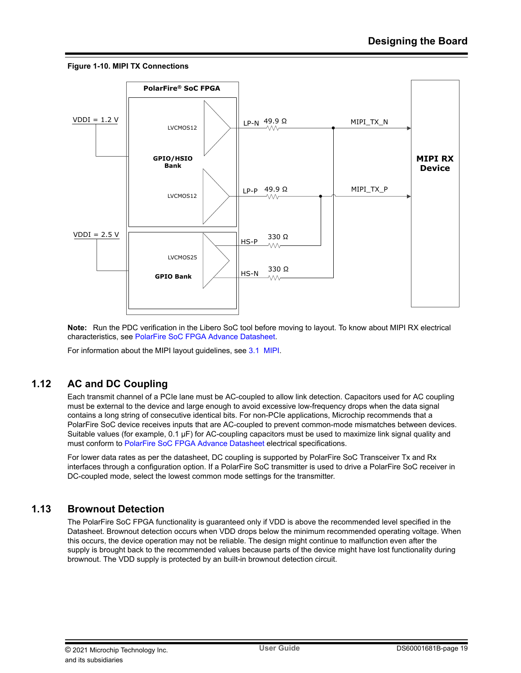#### <span id="page-18-0"></span>**Figure 1-10. MIPI TX Connections**



**Note:**  Run the PDC verification in the Libero SoC tool before moving to layout. To know about MIPI RX electrical characteristics, see [PolarFire SoC FPGA Advance Datasheet](http://www.microsemi.com/index.php?option=com_docman&task=doc_download&gid=1244583).

For information about the MIPI layout guidelines, see [3.1 MIPI.](#page-22-0)

## **1.12 AC and DC Coupling**

Each transmit channel of a PCIe lane must be AC-coupled to allow link detection. Capacitors used for AC coupling must be external to the device and large enough to avoid excessive low-frequency drops when the data signal contains a long string of consecutive identical bits. For non-PCIe applications, Microchip recommends that a PolarFire SoC device receives inputs that are AC-coupled to prevent common-mode mismatches between devices. Suitable values (for example, 0.1 μF) for AC-coupling capacitors must be used to maximize link signal quality and must conform to [PolarFire SoC FPGA Advance Datasheet](http://www.microsemi.com/index.php?option=com_docman&task=doc_download&gid=1244583) electrical specifications.

For lower data rates as per the datasheet, DC coupling is supported by PolarFire SoC Transceiver Tx and Rx interfaces through a configuration option. If a PolarFire SoC transmitter is used to drive a PolarFire SoC receiver in DC-coupled mode, select the lowest common mode settings for the transmitter.

## **1.13 Brownout Detection**

The PolarFire SoC FPGA functionality is guaranteed only if VDD is above the recommended level specified in the Datasheet. Brownout detection occurs when VDD drops below the minimum recommended operating voltage. When this occurs, the device operation may not be reliable. The design might continue to malfunction even after the supply is brought back to the recommended values because parts of the device might have lost functionality during brownout. The VDD supply is protected by an built-in brownout detection circuit.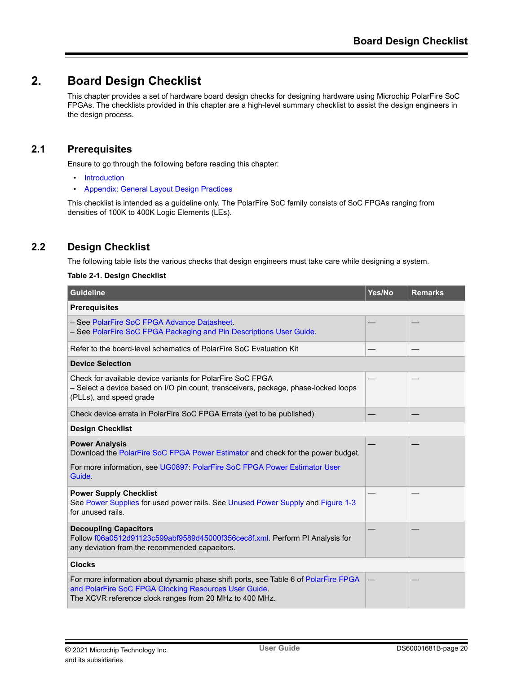## <span id="page-19-0"></span>**2. Board Design Checklist**

This chapter provides a set of hardware board design checks for designing hardware using Microchip PolarFire SoC FPGAs. The checklists provided in this chapter are a high-level summary checklist to assist the design engineers in the design process.

## **2.1 Prerequisites**

Ensure to go through the following before reading this chapter:

- [Introduction](#page-0-0)
- [Appendix: General Layout Design Practices](#page-22-0)

This checklist is intended as a guideline only. The PolarFire SoC family consists of SoC FPGAs ranging from densities of 100K to 400K Logic Elements (LEs).

## **2.2 Design Checklist**

The following table lists the various checks that design engineers must take care while designing a system.

#### **Table 2-1. Design Checklist**

| <b>Guideline</b>                                                                                                                                                                                        | Yes/No | <b>Remarks</b> |
|---------------------------------------------------------------------------------------------------------------------------------------------------------------------------------------------------------|--------|----------------|
| <b>Prerequisites</b>                                                                                                                                                                                    |        |                |
| - See PolarFire SoC FPGA Advance Datasheet.<br>- See PolarFire SoC FPGA Packaging and Pin Descriptions User Guide.                                                                                      |        |                |
| Refer to the board-level schematics of PolarFire SoC Evaluation Kit                                                                                                                                     |        |                |
| <b>Device Selection</b>                                                                                                                                                                                 |        |                |
| Check for available device variants for PolarFire SoC FPGA<br>- Select a device based on I/O pin count, transceivers, package, phase-locked loops<br>(PLLs), and speed grade                            |        |                |
| Check device errata in PolarFire SoC FPGA Errata (yet to be published)                                                                                                                                  |        |                |
| <b>Design Checklist</b>                                                                                                                                                                                 |        |                |
| <b>Power Analysis</b><br>Download the PolarFire SoC FPGA Power Estimator and check for the power budget.                                                                                                |        |                |
| For more information, see UG0897: PolarFire SoC FPGA Power Estimator User<br>Guide.                                                                                                                     |        |                |
| <b>Power Supply Checklist</b><br>See Power Supplies for used power rails. See Unused Power Supply and Figure 1-3<br>for unused rails.                                                                   |        |                |
| <b>Decoupling Capacitors</b><br>Follow f06a0512d91123c599abf9589d45000f356cec8f.xml. Perform PI Analysis for<br>any deviation from the recommended capacitors.                                          |        |                |
| <b>Clocks</b>                                                                                                                                                                                           |        |                |
| For more information about dynamic phase shift ports, see Table 6 of PolarFire FPGA<br>and PolarFire SoC FPGA Clocking Resources User Guide.<br>The XCVR reference clock ranges from 20 MHz to 400 MHz. |        |                |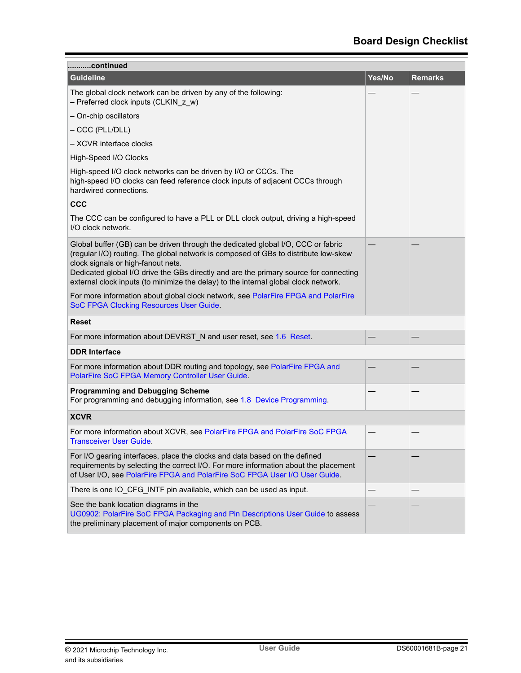| continued                                                                                                                                                                                                                                                                                                                                                                                     |        |                |
|-----------------------------------------------------------------------------------------------------------------------------------------------------------------------------------------------------------------------------------------------------------------------------------------------------------------------------------------------------------------------------------------------|--------|----------------|
| <b>Guideline</b>                                                                                                                                                                                                                                                                                                                                                                              | Yes/No | <b>Remarks</b> |
| The global clock network can be driven by any of the following:<br>- Preferred clock inputs (CLKIN_z_w)                                                                                                                                                                                                                                                                                       |        |                |
| - On-chip oscillators                                                                                                                                                                                                                                                                                                                                                                         |        |                |
| - CCC (PLL/DLL)                                                                                                                                                                                                                                                                                                                                                                               |        |                |
| - XCVR interface clocks                                                                                                                                                                                                                                                                                                                                                                       |        |                |
| High-Speed I/O Clocks                                                                                                                                                                                                                                                                                                                                                                         |        |                |
| High-speed I/O clock networks can be driven by I/O or CCCs. The<br>high-speed I/O clocks can feed reference clock inputs of adjacent CCCs through<br>hardwired connections.                                                                                                                                                                                                                   |        |                |
| <b>CCC</b>                                                                                                                                                                                                                                                                                                                                                                                    |        |                |
| The CCC can be configured to have a PLL or DLL clock output, driving a high-speed<br>I/O clock network.                                                                                                                                                                                                                                                                                       |        |                |
| Global buffer (GB) can be driven through the dedicated global I/O, CCC or fabric<br>(regular I/O) routing. The global network is composed of GBs to distribute low-skew<br>clock signals or high-fanout nets.<br>Dedicated global I/O drive the GBs directly and are the primary source for connecting<br>external clock inputs (to minimize the delay) to the internal global clock network. |        |                |
| For more information about global clock network, see PolarFire FPGA and PolarFire<br>SoC FPGA Clocking Resources User Guide.                                                                                                                                                                                                                                                                  |        |                |
| Reset                                                                                                                                                                                                                                                                                                                                                                                         |        |                |
| For more information about DEVRST_N and user reset, see 1.6 Reset.                                                                                                                                                                                                                                                                                                                            |        |                |
| <b>DDR Interface</b>                                                                                                                                                                                                                                                                                                                                                                          |        |                |
| For more information about DDR routing and topology, see PolarFire FPGA and<br>PolarFire SoC FPGA Memory Controller User Guide.                                                                                                                                                                                                                                                               |        |                |
| <b>Programming and Debugging Scheme</b><br>For programming and debugging information, see 1.8 Device Programming.                                                                                                                                                                                                                                                                             |        |                |
| <b>XCVR</b>                                                                                                                                                                                                                                                                                                                                                                                   |        |                |
| For more information about XCVR, see PolarFire FPGA and PolarFire SoC FPGA<br><b>Transceiver User Guide.</b>                                                                                                                                                                                                                                                                                  |        |                |
| For I/O gearing interfaces, place the clocks and data based on the defined<br>requirements by selecting the correct I/O. For more information about the placement<br>of User I/O, see PolarFire FPGA and PolarFire SoC FPGA User I/O User Guide.                                                                                                                                              |        |                |
| There is one IO_CFG_INTF pin available, which can be used as input.                                                                                                                                                                                                                                                                                                                           |        |                |
| See the bank location diagrams in the<br>UG0902: PolarFire SoC FPGA Packaging and Pin Descriptions User Guide to assess<br>the preliminary placement of major components on PCB.                                                                                                                                                                                                              |        |                |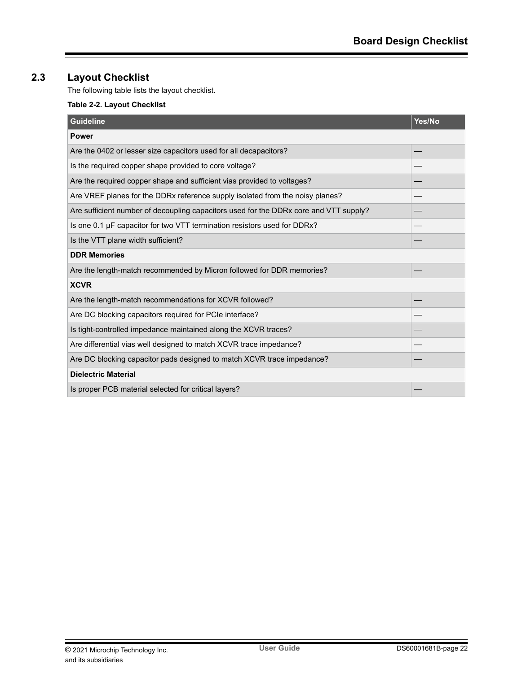## <span id="page-21-0"></span>**2.3 Layout Checklist**

The following table lists the layout checklist.

## **Table 2-2. Layout Checklist**

| <b>Guideline</b>                                                                      | Yes/No |
|---------------------------------------------------------------------------------------|--------|
| <b>Power</b>                                                                          |        |
| Are the 0402 or lesser size capacitors used for all decapacitors?                     |        |
| Is the required copper shape provided to core voltage?                                |        |
| Are the required copper shape and sufficient vias provided to voltages?               |        |
| Are VREF planes for the DDRx reference supply isolated from the noisy planes?         |        |
| Are sufficient number of decoupling capacitors used for the DDRx core and VTT supply? |        |
| Is one 0.1 µF capacitor for two VTT termination resistors used for DDRx?              |        |
| Is the VTT plane width sufficient?                                                    |        |
| <b>DDR Memories</b>                                                                   |        |
| Are the length-match recommended by Micron followed for DDR memories?                 |        |
| <b>XCVR</b>                                                                           |        |
| Are the length-match recommendations for XCVR followed?                               |        |
| Are DC blocking capacitors required for PCIe interface?                               |        |
| Is tight-controlled impedance maintained along the XCVR traces?                       |        |
| Are differential vias well designed to match XCVR trace impedance?                    |        |
| Are DC blocking capacitor pads designed to match XCVR trace impedance?                |        |
| <b>Dielectric Material</b>                                                            |        |
| Is proper PCB material selected for critical layers?                                  |        |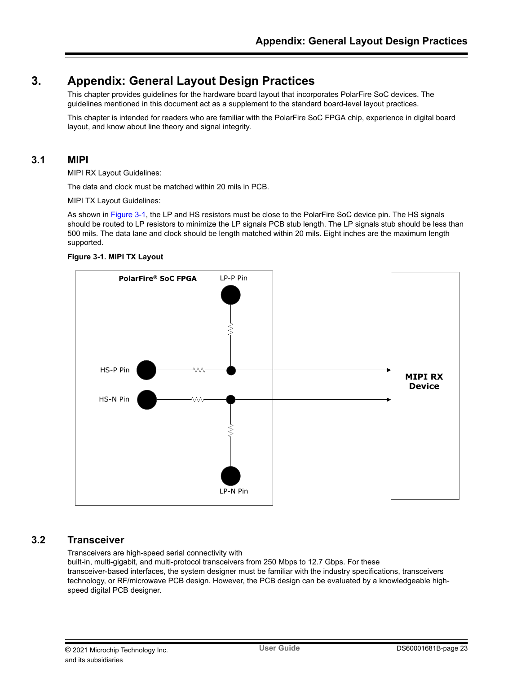## <span id="page-22-0"></span>**3. Appendix: General Layout Design Practices**

This chapter provides guidelines for the hardware board layout that incorporates PolarFire SoC devices. The guidelines mentioned in this document act as a supplement to the standard board-level layout practices.

This chapter is intended for readers who are familiar with the PolarFire SoC FPGA chip, experience in digital board layout, and know about line theory and signal integrity.

## **3.1 MIPI**

MIPI RX Layout Guidelines:

The data and clock must be matched within 20 mils in PCB.

MIPI TX Layout Guidelines:

As shown in Figure 3-1, the LP and HS resistors must be close to the PolarFire SoC device pin. The HS signals should be routed to LP resistors to minimize the LP signals PCB stub length. The LP signals stub should be less than 500 mils. The data lane and clock should be length matched within 20 mils. Eight inches are the maximum length supported.





## **3.2 Transceiver**

Transceivers are high-speed serial connectivity with built-in, multi-gigabit, and multi-protocol transceivers from 250 Mbps to 12.7 Gbps. For these transceiver-based interfaces, the system designer must be familiar with the industry specifications, transceivers technology, or RF/microwave PCB design. However, the PCB design can be evaluated by a knowledgeable highspeed digital PCB designer.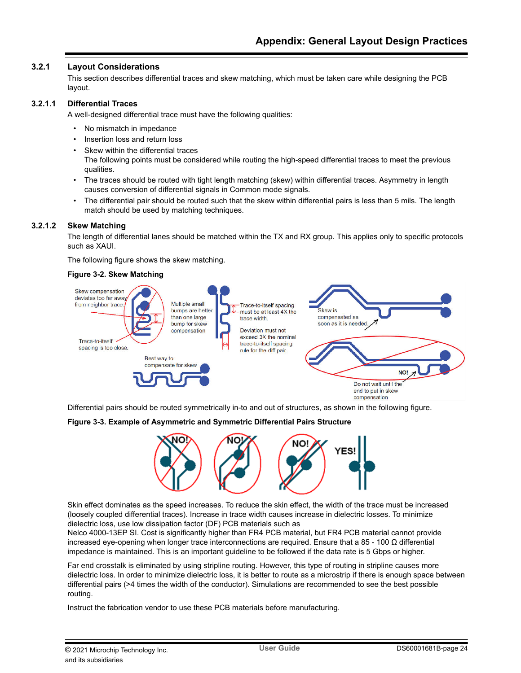### **3.2.1 Layout Considerations**

This section describes differential traces and skew matching, which must be taken care while designing the PCB layout.

#### **3.2.1.1 Differential Traces**

A well-designed differential trace must have the following qualities:

- No mismatch in impedance
- Insertion loss and return loss
- Skew within the differential traces The following points must be considered while routing the high-speed differential traces to meet the previous qualities.
- The traces should be routed with tight length matching (skew) within differential traces. Asymmetry in length causes conversion of differential signals in Common mode signals.
- The differential pair should be routed such that the skew within differential pairs is less than 5 mils. The length match should be used by matching techniques.

#### **3.2.1.2 Skew Matching**

The length of differential lanes should be matched within the TX and RX group. This applies only to specific protocols such as XAUI.

The following figure shows the skew matching.

#### **Figure 3-2. Skew Matching**



Differential pairs should be routed symmetrically in-to and out of structures, as shown in the following figure.

#### **Figure 3-3. Example of Asymmetric and Symmetric Differential Pairs Structure**



Skin effect dominates as the speed increases. To reduce the skin effect, the width of the trace must be increased (loosely coupled differential traces). Increase in trace width causes increase in dielectric losses. To minimize dielectric loss, use low dissipation factor (DF) PCB materials such as

Nelco 4000-13EP SI. Cost is significantly higher than FR4 PCB material, but FR4 PCB material cannot provide increased eye-opening when longer trace interconnections are required. Ensure that a 85 - 100 Ω differential impedance is maintained. This is an important guideline to be followed if the data rate is 5 Gbps or higher.

Far end crosstalk is eliminated by using stripline routing. However, this type of routing in stripline causes more dielectric loss. In order to minimize dielectric loss, it is better to route as a microstrip if there is enough space between differential pairs (>4 times the width of the conductor). Simulations are recommended to see the best possible routing.

Instruct the fabrication vendor to use these PCB materials before manufacturing.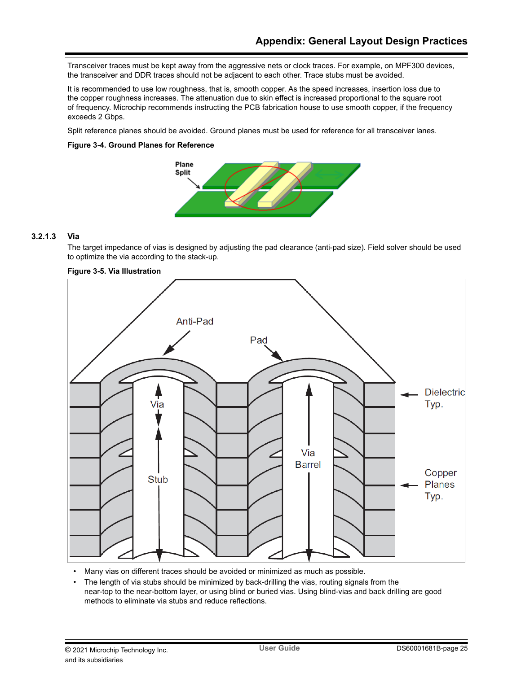Transceiver traces must be kept away from the aggressive nets or clock traces. For example, on MPF300 devices, the transceiver and DDR traces should not be adjacent to each other. Trace stubs must be avoided.

It is recommended to use low roughness, that is, smooth copper. As the speed increases, insertion loss due to the copper roughness increases. The attenuation due to skin effect is increased proportional to the square root of frequency. Microchip recommends instructing the PCB fabrication house to use smooth copper, if the frequency exceeds 2 Gbps.

Split reference planes should be avoided. Ground planes must be used for reference for all transceiver lanes.

### **Figure 3-4. Ground Planes for Reference**



### **3.2.1.3 Via**

The target impedance of vias is designed by adjusting the pad clearance (anti-pad size). Field solver should be used to optimize the via according to the stack-up.



• Many vias on different traces should be avoided or minimized as much as possible.

• The length of via stubs should be minimized by back-drilling the vias, routing signals from the near-top to the near-bottom layer, or using blind or buried vias. Using blind-vias and back drilling are good methods to eliminate via stubs and reduce reflections.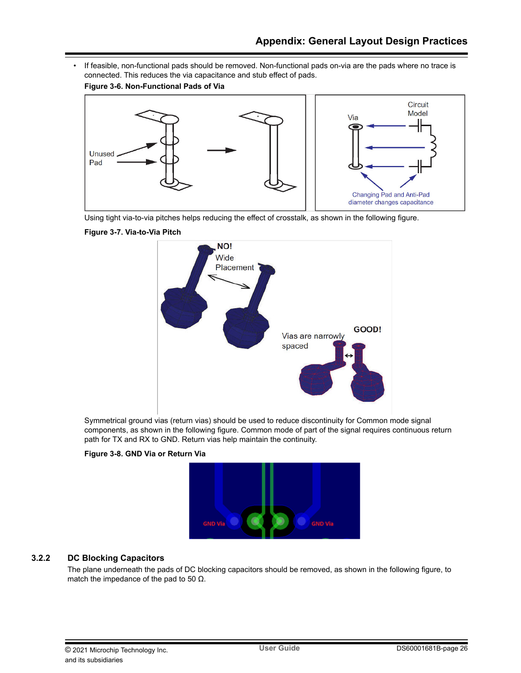• If feasible, non-functional pads should be removed. Non-functional pads on-via are the pads where no trace is connected. This reduces the via capacitance and stub effect of pads.





Using tight via-to-via pitches helps reducing the effect of crosstalk, as shown in the following figure.





Symmetrical ground vias (return vias) should be used to reduce discontinuity for Common mode signal components, as shown in the following figure. Common mode of part of the signal requires continuous return path for TX and RX to GND. Return vias help maintain the continuity.





## **3.2.2 DC Blocking Capacitors**

The plane underneath the pads of DC blocking capacitors should be removed, as shown in the following figure, to match the impedance of the pad to 50  $\Omega$ .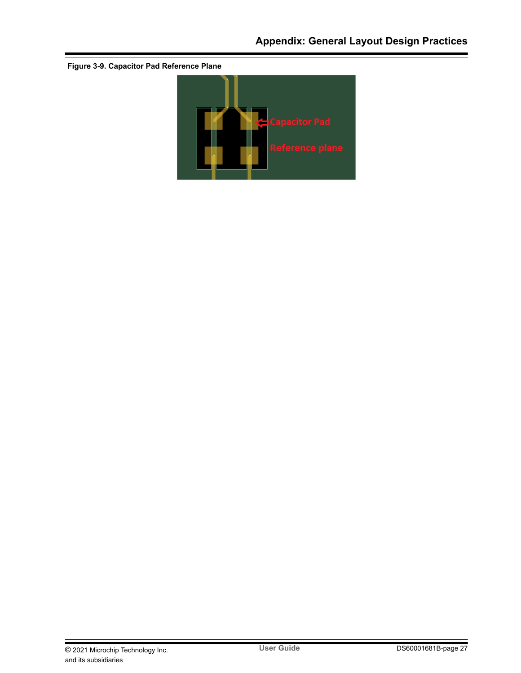

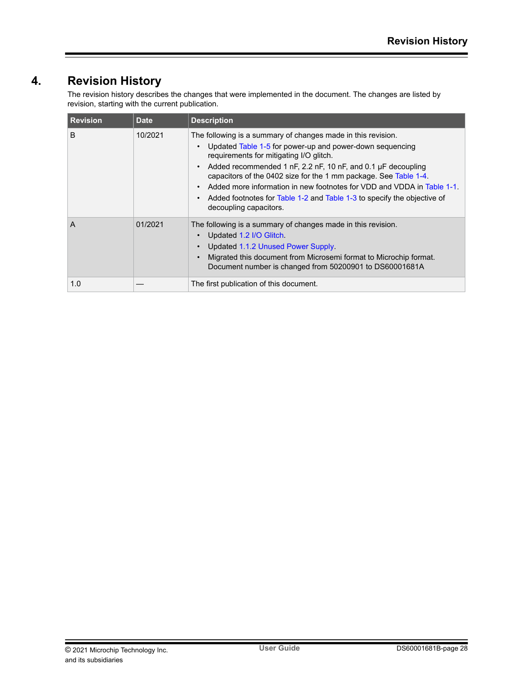## <span id="page-27-0"></span>**4. Revision History**

The revision history describes the changes that were implemented in the document. The changes are listed by revision, starting with the current publication.

| <b>Revision</b> | <b>Date</b> | <b>Description</b>                                                                                                                                                                                                                                                                                                                                                                                                                                                                                                                         |
|-----------------|-------------|--------------------------------------------------------------------------------------------------------------------------------------------------------------------------------------------------------------------------------------------------------------------------------------------------------------------------------------------------------------------------------------------------------------------------------------------------------------------------------------------------------------------------------------------|
| B               | 10/2021     | The following is a summary of changes made in this revision.<br>Updated Table 1-5 for power-up and power-down sequencing<br>$\bullet$<br>requirements for mitigating I/O glitch.<br>Added recommended 1 nF, 2.2 nF, 10 nF, and 0.1 µF decoupling<br>$\bullet$<br>capacitors of the 0402 size for the 1 mm package. See Table 1-4.<br>Added more information in new footnotes for VDD and VDDA in Table 1-1.<br>$\bullet$<br>Added footnotes for Table 1-2 and Table 1-3 to specify the objective of<br>$\bullet$<br>decoupling capacitors. |
| A               | 01/2021     | The following is a summary of changes made in this revision.<br>Updated 1.2 I/O Glitch.<br>Updated 1.1.2 Unused Power Supply.<br>$\bullet$<br>Migrated this document from Microsemi format to Microchip format.<br>Document number is changed from 50200901 to DS60001681A                                                                                                                                                                                                                                                                 |
| 1.0             |             | The first publication of this document.                                                                                                                                                                                                                                                                                                                                                                                                                                                                                                    |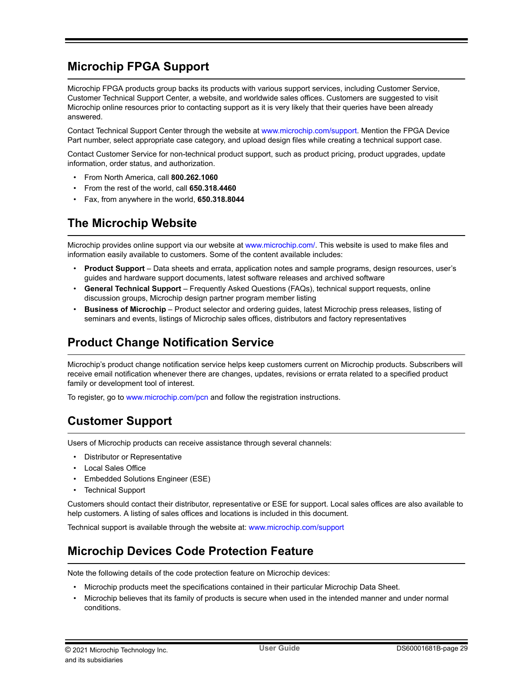## <span id="page-28-0"></span>**Microchip FPGA Support**

Microchip FPGA products group backs its products with various support services, including Customer Service, Customer Technical Support Center, a website, and worldwide sales offices. Customers are suggested to visit Microchip online resources prior to contacting support as it is very likely that their queries have been already answered.

Contact Technical Support Center through the website at [www.microchip.com/support.](http://www.microchip.com/support) Mention the FPGA Device Part number, select appropriate case category, and upload design files while creating a technical support case.

Contact Customer Service for non-technical product support, such as product pricing, product upgrades, update information, order status, and authorization.

- From North America, call **800.262.1060**
- From the rest of the world, call **650.318.4460**
- Fax, from anywhere in the world, **650.318.8044**

## **The Microchip Website**

Microchip provides online support via our website at [www.microchip.com/](http://www.microchip.com/). This website is used to make files and information easily available to customers. Some of the content available includes:

- **Product Support** Data sheets and errata, application notes and sample programs, design resources, user's guides and hardware support documents, latest software releases and archived software
- **General Technical Support** Frequently Asked Questions (FAQs), technical support requests, online discussion groups, Microchip design partner program member listing
- **Business of Microchip** Product selector and ordering guides, latest Microchip press releases, listing of seminars and events, listings of Microchip sales offices, distributors and factory representatives

## **Product Change Notification Service**

Microchip's product change notification service helps keep customers current on Microchip products. Subscribers will receive email notification whenever there are changes, updates, revisions or errata related to a specified product family or development tool of interest.

To register, go to [www.microchip.com/pcn](http://www.microchip.com/pcn) and follow the registration instructions.

## **Customer Support**

Users of Microchip products can receive assistance through several channels:

- Distributor or Representative
- Local Sales Office
- Embedded Solutions Engineer (ESE)
- **Technical Support**

Customers should contact their distributor, representative or ESE for support. Local sales offices are also available to help customers. A listing of sales offices and locations is included in this document.

Technical support is available through the website at: [www.microchip.com/support](http://www.microchip.com/support)

## **Microchip Devices Code Protection Feature**

Note the following details of the code protection feature on Microchip devices:

- Microchip products meet the specifications contained in their particular Microchip Data Sheet.
- Microchip believes that its family of products is secure when used in the intended manner and under normal conditions.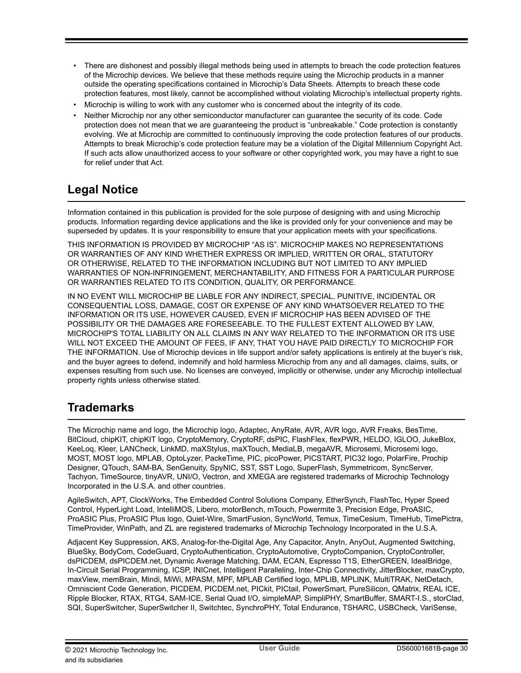- <span id="page-29-0"></span>• There are dishonest and possibly illegal methods being used in attempts to breach the code protection features of the Microchip devices. We believe that these methods require using the Microchip products in a manner outside the operating specifications contained in Microchip's Data Sheets. Attempts to breach these code protection features, most likely, cannot be accomplished without violating Microchip's intellectual property rights.
- Microchip is willing to work with any customer who is concerned about the integrity of its code.
- Neither Microchip nor any other semiconductor manufacturer can guarantee the security of its code. Code protection does not mean that we are guaranteeing the product is "unbreakable." Code protection is constantly evolving. We at Microchip are committed to continuously improving the code protection features of our products. Attempts to break Microchip's code protection feature may be a violation of the Digital Millennium Copyright Act. If such acts allow unauthorized access to your software or other copyrighted work, you may have a right to sue for relief under that Act.

## **Legal Notice**

Information contained in this publication is provided for the sole purpose of designing with and using Microchip products. Information regarding device applications and the like is provided only for your convenience and may be superseded by updates. It is your responsibility to ensure that your application meets with your specifications.

THIS INFORMATION IS PROVIDED BY MICROCHIP "AS IS". MICROCHIP MAKES NO REPRESENTATIONS OR WARRANTIES OF ANY KIND WHETHER EXPRESS OR IMPLIED, WRITTEN OR ORAL, STATUTORY OR OTHERWISE, RELATED TO THE INFORMATION INCLUDING BUT NOT LIMITED TO ANY IMPLIED WARRANTIES OF NON-INFRINGEMENT, MERCHANTABILITY, AND FITNESS FOR A PARTICULAR PURPOSE OR WARRANTIES RELATED TO ITS CONDITION, QUALITY, OR PERFORMANCE.

IN NO EVENT WILL MICROCHIP BE LIABLE FOR ANY INDIRECT, SPECIAL, PUNITIVE, INCIDENTAL OR CONSEQUENTIAL LOSS, DAMAGE, COST OR EXPENSE OF ANY KIND WHATSOEVER RELATED TO THE INFORMATION OR ITS USE, HOWEVER CAUSED, EVEN IF MICROCHIP HAS BEEN ADVISED OF THE POSSIBILITY OR THE DAMAGES ARE FORESEEABLE. TO THE FULLEST EXTENT ALLOWED BY LAW, MICROCHIP'S TOTAL LIABILITY ON ALL CLAIMS IN ANY WAY RELATED TO THE INFORMATION OR ITS USE WILL NOT EXCEED THE AMOUNT OF FEES, IF ANY, THAT YOU HAVE PAID DIRECTLY TO MICROCHIP FOR THE INFORMATION. Use of Microchip devices in life support and/or safety applications is entirely at the buyer's risk, and the buyer agrees to defend, indemnify and hold harmless Microchip from any and all damages, claims, suits, or expenses resulting from such use. No licenses are conveyed, implicitly or otherwise, under any Microchip intellectual property rights unless otherwise stated.

## **Trademarks**

The Microchip name and logo, the Microchip logo, Adaptec, AnyRate, AVR, AVR logo, AVR Freaks, BesTime, BitCloud, chipKIT, chipKIT logo, CryptoMemory, CryptoRF, dsPIC, FlashFlex, flexPWR, HELDO, IGLOO, JukeBlox, KeeLoq, Kleer, LANCheck, LinkMD, maXStylus, maXTouch, MediaLB, megaAVR, Microsemi, Microsemi logo, MOST, MOST logo, MPLAB, OptoLyzer, PackeTime, PIC, picoPower, PICSTART, PIC32 logo, PolarFire, Prochip Designer, QTouch, SAM-BA, SenGenuity, SpyNIC, SST, SST Logo, SuperFlash, Symmetricom, SyncServer, Tachyon, TimeSource, tinyAVR, UNI/O, Vectron, and XMEGA are registered trademarks of Microchip Technology Incorporated in the U.S.A. and other countries.

AgileSwitch, APT, ClockWorks, The Embedded Control Solutions Company, EtherSynch, FlashTec, Hyper Speed Control, HyperLight Load, IntelliMOS, Libero, motorBench, mTouch, Powermite 3, Precision Edge, ProASIC, ProASIC Plus, ProASIC Plus logo, Quiet-Wire, SmartFusion, SyncWorld, Temux, TimeCesium, TimeHub, TimePictra, TimeProvider, WinPath, and ZL are registered trademarks of Microchip Technology Incorporated in the U.S.A.

Adjacent Key Suppression, AKS, Analog-for-the-Digital Age, Any Capacitor, AnyIn, AnyOut, Augmented Switching, BlueSky, BodyCom, CodeGuard, CryptoAuthentication, CryptoAutomotive, CryptoCompanion, CryptoController, dsPICDEM, dsPICDEM.net, Dynamic Average Matching, DAM, ECAN, Espresso T1S, EtherGREEN, IdealBridge, In-Circuit Serial Programming, ICSP, INICnet, Intelligent Paralleling, Inter-Chip Connectivity, JitterBlocker, maxCrypto, maxView, memBrain, Mindi, MiWi, MPASM, MPF, MPLAB Certified logo, MPLIB, MPLINK, MultiTRAK, NetDetach, Omniscient Code Generation, PICDEM, PICDEM.net, PICkit, PICtail, PowerSmart, PureSilicon, QMatrix, REAL ICE, Ripple Blocker, RTAX, RTG4, SAM-ICE, Serial Quad I/O, simpleMAP, SimpliPHY, SmartBuffer, SMART-I.S., storClad, SQI, SuperSwitcher, SuperSwitcher II, Switchtec, SynchroPHY, Total Endurance, TSHARC, USBCheck, VariSense,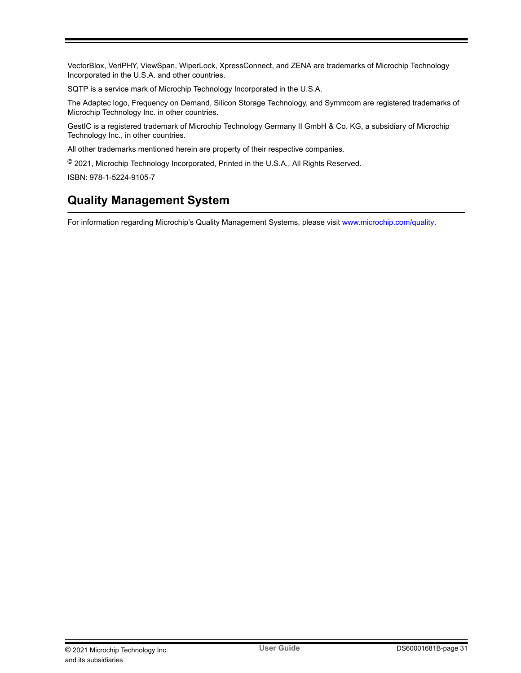<span id="page-30-0"></span>VectorBlox, VeriPHY, ViewSpan, WiperLock, XpressConnect, and ZENA are trademarks of Microchip Technology Incorporated in the U.S.A. and other countries.

SQTP is a service mark of Microchip Technology Incorporated in the U.S.A.

The Adaptec logo, Frequency on Demand, Silicon Storage Technology, and Symmcom are registered trademarks of Microchip Technology Inc. in other countries.

GestIC is a registered trademark of Microchip Technology Germany II GmbH & Co. KG, a subsidiary of Microchip Technology Inc., in other countries.

All other trademarks mentioned herein are property of their respective companies.

© 2021, Microchip Technology Incorporated, Printed in the U.S.A., All Rights Reserved.

ISBN: 978-1-5224-9105-7

## **Quality Management System**

For information regarding Microchip's Quality Management Systems, please visit [www.microchip.com/quality](http://www.microchip.com/quality).